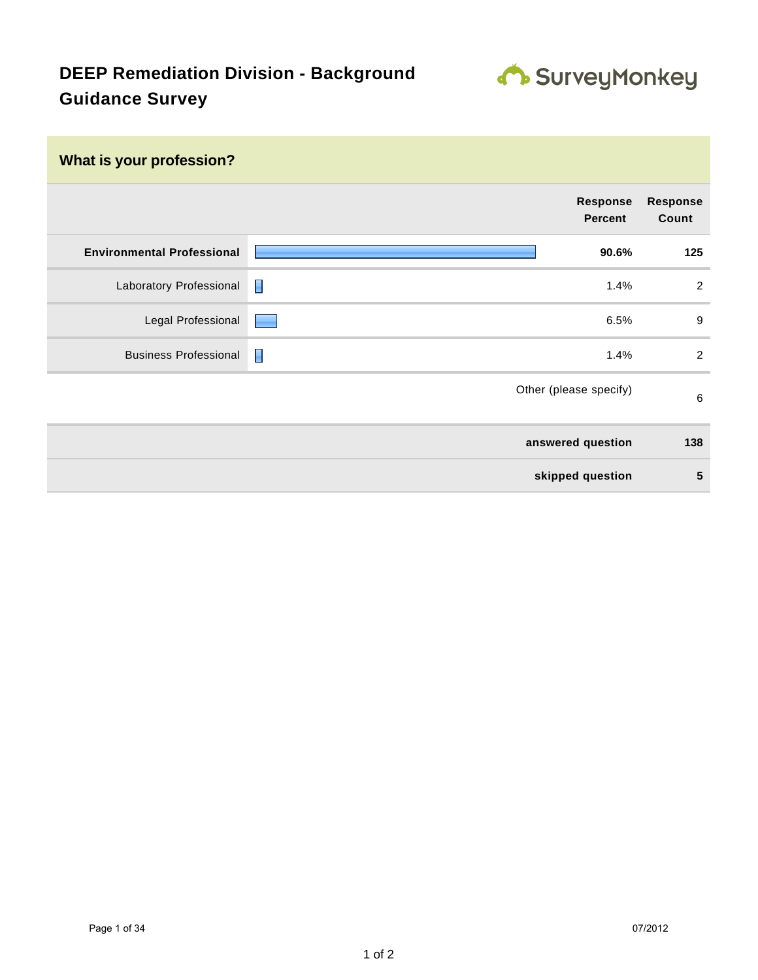

| What is your profession?          |                                   |                          |
|-----------------------------------|-----------------------------------|--------------------------|
|                                   | <b>Response</b><br><b>Percent</b> | <b>Response</b><br>Count |
| <b>Environmental Professional</b> | 90.6%                             | 125                      |
| Laboratory Professional           | I<br>1.4%                         | $\overline{2}$           |
| Legal Professional                | 6.5%<br><u> Lind</u>              | $9\,$                    |
| <b>Business Professional</b>      | Π<br>1.4%                         | 2                        |
|                                   | Other (please specify)            | 6                        |
|                                   | answered question                 | 138                      |
|                                   | skipped question                  | 5                        |
|                                   |                                   |                          |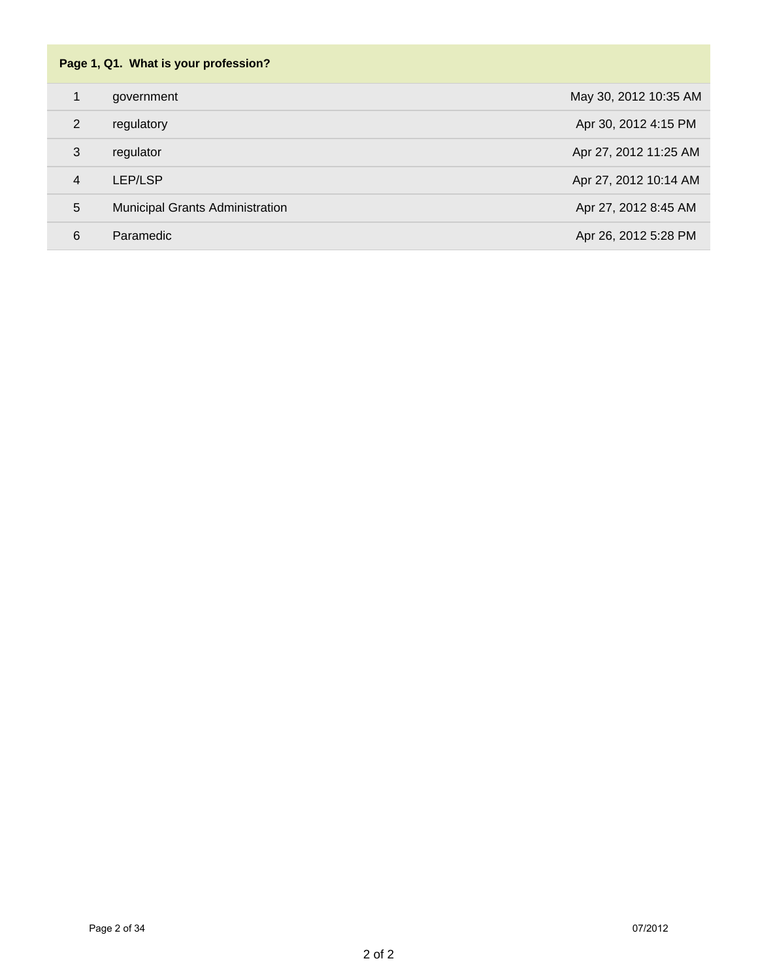| Page 1, Q1. What is your profession? |                                        |                       |
|--------------------------------------|----------------------------------------|-----------------------|
| 1                                    | government                             | May 30, 2012 10:35 AM |
| 2                                    | regulatory                             | Apr 30, 2012 4:15 PM  |
| 3                                    | regulator                              | Apr 27, 2012 11:25 AM |
| $\overline{4}$                       | LEP/LSP                                | Apr 27, 2012 10:14 AM |
| 5                                    | <b>Municipal Grants Administration</b> | Apr 27, 2012 8:45 AM  |
| 6                                    | Paramedic                              | Apr 26, 2012 5:28 PM  |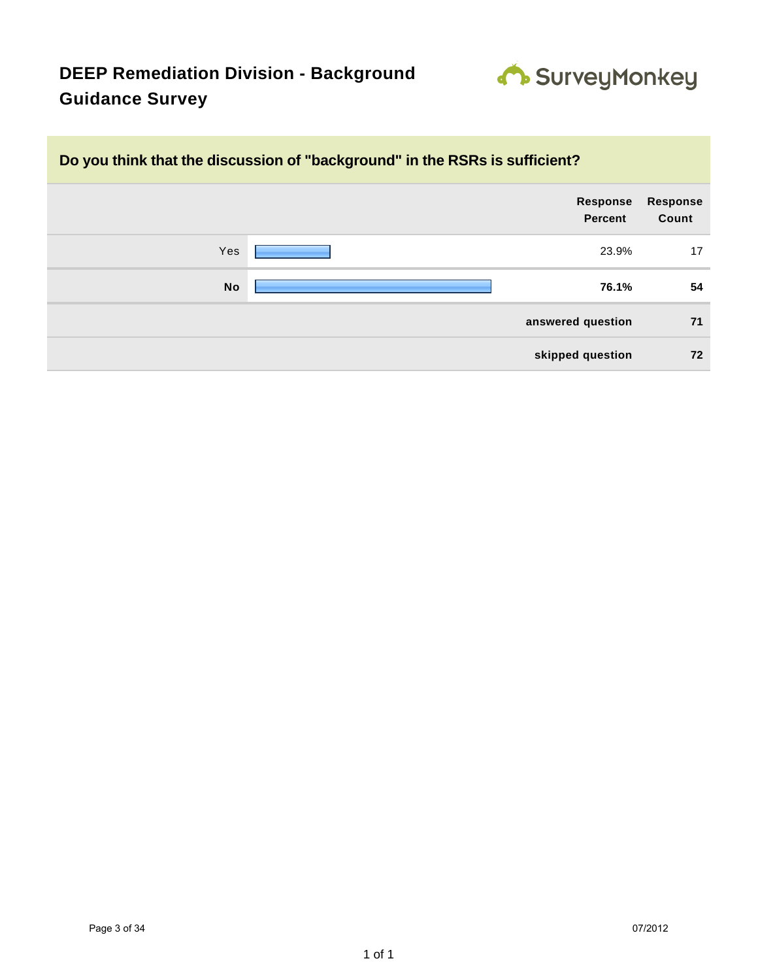

### **Do you think that the discussion of "background" in the RSRs is sufficient?**

|           | Response<br><b>Percent</b> | <b>Response</b><br>Count |
|-----------|----------------------------|--------------------------|
| Yes       | 23.9%                      | 17                       |
| <b>No</b> | 76.1%                      | 54                       |
|           | answered question          | 71                       |
|           | skipped question           | 72                       |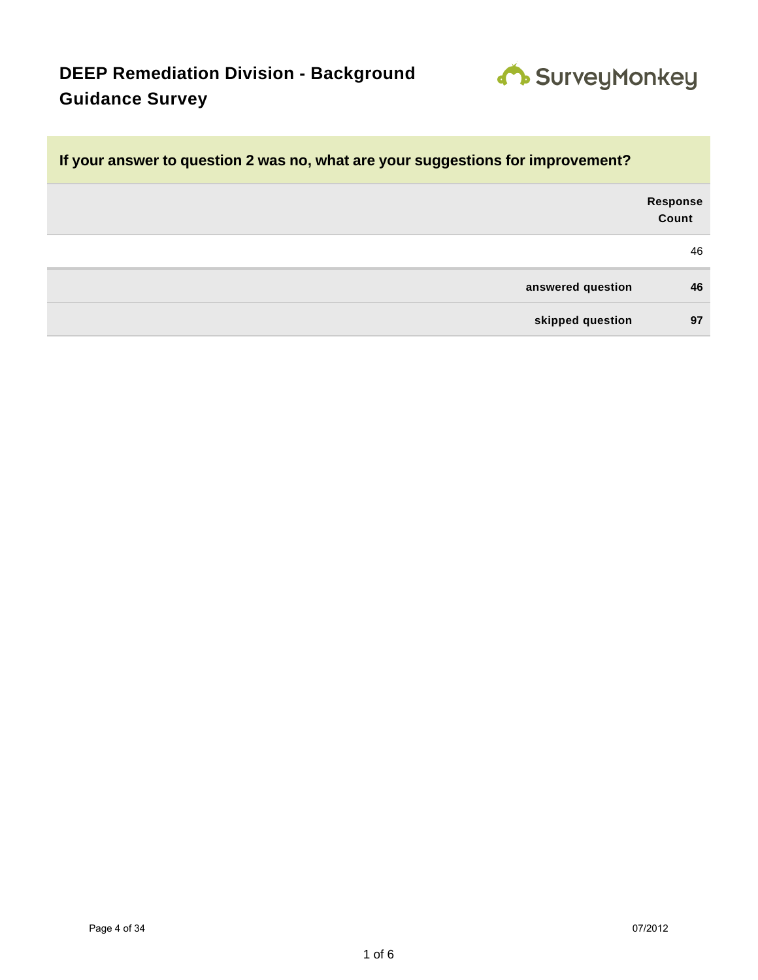

### **If your answer to question 2 was no, what are your suggestions for improvement?**

| Response<br>Count |                   |
|-------------------|-------------------|
| 46                |                   |
| 46                | answered question |
| 97                | skipped question  |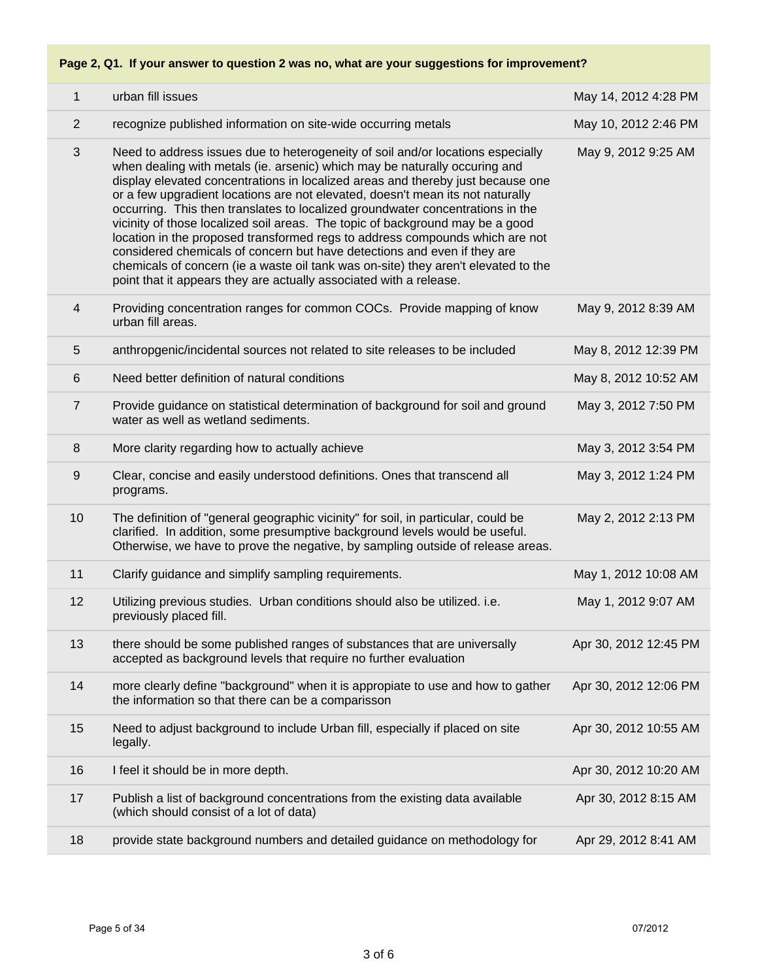### **Page 2, Q1. If your answer to question 2 was no, what are your suggestions for improvement?**

| $\mathbf{1}$    | urban fill issues                                                                                                                                                                                                                                                                                                                                                                                                                                                                                                                                                                                                                                                                                                                                                                                                             | May 14, 2012 4:28 PM  |
|-----------------|-------------------------------------------------------------------------------------------------------------------------------------------------------------------------------------------------------------------------------------------------------------------------------------------------------------------------------------------------------------------------------------------------------------------------------------------------------------------------------------------------------------------------------------------------------------------------------------------------------------------------------------------------------------------------------------------------------------------------------------------------------------------------------------------------------------------------------|-----------------------|
| 2               | recognize published information on site-wide occurring metals                                                                                                                                                                                                                                                                                                                                                                                                                                                                                                                                                                                                                                                                                                                                                                 | May 10, 2012 2:46 PM  |
| 3               | Need to address issues due to heterogeneity of soil and/or locations especially<br>when dealing with metals (ie. arsenic) which may be naturally occuring and<br>display elevated concentrations in localized areas and thereby just because one<br>or a few upgradient locations are not elevated, doesn't mean its not naturally<br>occurring. This then translates to localized groundwater concentrations in the<br>vicinity of those localized soil areas. The topic of background may be a good<br>location in the proposed transformed regs to address compounds which are not<br>considered chemicals of concern but have detections and even if they are<br>chemicals of concern (ie a waste oil tank was on-site) they aren't elevated to the<br>point that it appears they are actually associated with a release. | May 9, 2012 9:25 AM   |
| 4               | Providing concentration ranges for common COCs. Provide mapping of know<br>urban fill areas.                                                                                                                                                                                                                                                                                                                                                                                                                                                                                                                                                                                                                                                                                                                                  | May 9, 2012 8:39 AM   |
| 5               | anthropgenic/incidental sources not related to site releases to be included                                                                                                                                                                                                                                                                                                                                                                                                                                                                                                                                                                                                                                                                                                                                                   | May 8, 2012 12:39 PM  |
| 6               | Need better definition of natural conditions                                                                                                                                                                                                                                                                                                                                                                                                                                                                                                                                                                                                                                                                                                                                                                                  | May 8, 2012 10:52 AM  |
| $\overline{7}$  | Provide guidance on statistical determination of background for soil and ground<br>water as well as wetland sediments.                                                                                                                                                                                                                                                                                                                                                                                                                                                                                                                                                                                                                                                                                                        | May 3, 2012 7:50 PM   |
| 8               | More clarity regarding how to actually achieve                                                                                                                                                                                                                                                                                                                                                                                                                                                                                                                                                                                                                                                                                                                                                                                | May 3, 2012 3:54 PM   |
| $9\,$           | Clear, concise and easily understood definitions. Ones that transcend all<br>programs.                                                                                                                                                                                                                                                                                                                                                                                                                                                                                                                                                                                                                                                                                                                                        | May 3, 2012 1:24 PM   |
| 10 <sup>1</sup> | The definition of "general geographic vicinity" for soil, in particular, could be<br>clarified. In addition, some presumptive background levels would be useful.<br>Otherwise, we have to prove the negative, by sampling outside of release areas.                                                                                                                                                                                                                                                                                                                                                                                                                                                                                                                                                                           | May 2, 2012 2:13 PM   |
| 11              | Clarify guidance and simplify sampling requirements.                                                                                                                                                                                                                                                                                                                                                                                                                                                                                                                                                                                                                                                                                                                                                                          | May 1, 2012 10:08 AM  |
| 12              | Utilizing previous studies. Urban conditions should also be utilized. i.e.<br>previously placed fill.                                                                                                                                                                                                                                                                                                                                                                                                                                                                                                                                                                                                                                                                                                                         | May 1, 2012 9:07 AM   |
| 13              | there should be some published ranges of substances that are universally<br>accepted as background levels that require no further evaluation                                                                                                                                                                                                                                                                                                                                                                                                                                                                                                                                                                                                                                                                                  | Apr 30, 2012 12:45 PM |
| 14              | more clearly define "background" when it is appropiate to use and how to gather<br>the information so that there can be a comparisson                                                                                                                                                                                                                                                                                                                                                                                                                                                                                                                                                                                                                                                                                         | Apr 30, 2012 12:06 PM |
| 15              | Need to adjust background to include Urban fill, especially if placed on site<br>legally.                                                                                                                                                                                                                                                                                                                                                                                                                                                                                                                                                                                                                                                                                                                                     | Apr 30, 2012 10:55 AM |
| 16              | I feel it should be in more depth.                                                                                                                                                                                                                                                                                                                                                                                                                                                                                                                                                                                                                                                                                                                                                                                            | Apr 30, 2012 10:20 AM |
| 17              | Publish a list of background concentrations from the existing data available<br>(which should consist of a lot of data)                                                                                                                                                                                                                                                                                                                                                                                                                                                                                                                                                                                                                                                                                                       | Apr 30, 2012 8:15 AM  |
| 18              | provide state background numbers and detailed guidance on methodology for                                                                                                                                                                                                                                                                                                                                                                                                                                                                                                                                                                                                                                                                                                                                                     | Apr 29, 2012 8:41 AM  |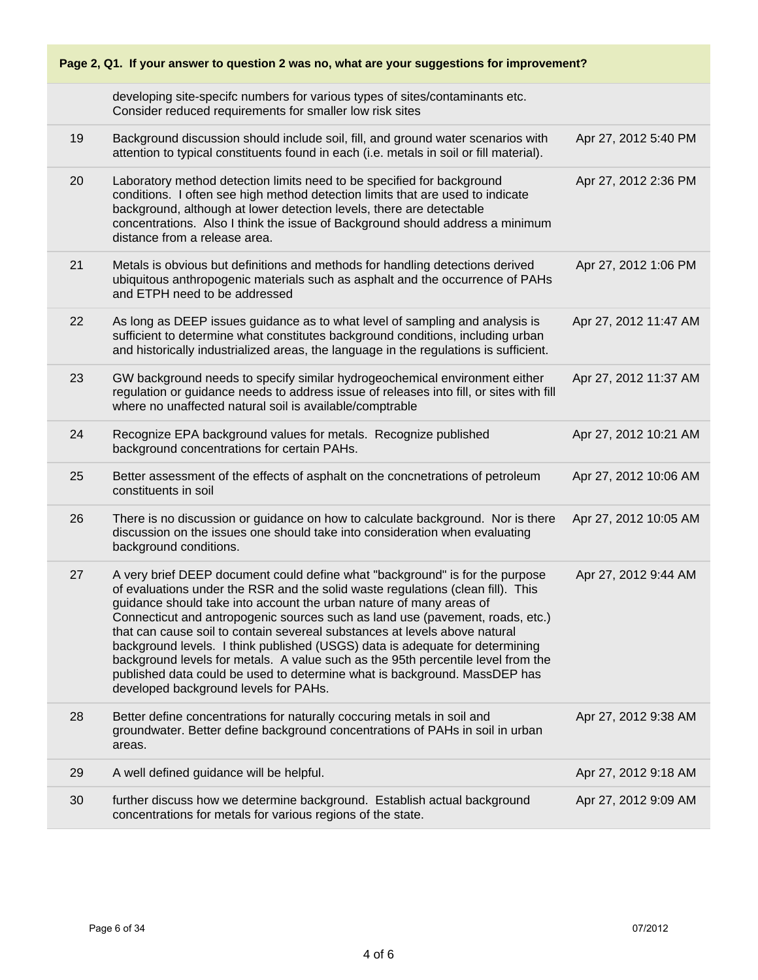| Page 2, Q1. If your answer to question 2 was no, what are your suggestions for improvement? |                                                                                                                                                                                                                                                                                                                                                                                                                                                                                                                                                                                                                                                                                                 |                       |  |
|---------------------------------------------------------------------------------------------|-------------------------------------------------------------------------------------------------------------------------------------------------------------------------------------------------------------------------------------------------------------------------------------------------------------------------------------------------------------------------------------------------------------------------------------------------------------------------------------------------------------------------------------------------------------------------------------------------------------------------------------------------------------------------------------------------|-----------------------|--|
|                                                                                             | developing site-specifc numbers for various types of sites/contaminants etc.<br>Consider reduced requirements for smaller low risk sites                                                                                                                                                                                                                                                                                                                                                                                                                                                                                                                                                        |                       |  |
| 19                                                                                          | Background discussion should include soil, fill, and ground water scenarios with<br>attention to typical constituents found in each (i.e. metals in soil or fill material).                                                                                                                                                                                                                                                                                                                                                                                                                                                                                                                     | Apr 27, 2012 5:40 PM  |  |
| 20                                                                                          | Laboratory method detection limits need to be specified for background<br>conditions. I often see high method detection limits that are used to indicate<br>background, although at lower detection levels, there are detectable<br>concentrations. Also I think the issue of Background should address a minimum<br>distance from a release area.                                                                                                                                                                                                                                                                                                                                              | Apr 27, 2012 2:36 PM  |  |
| 21                                                                                          | Metals is obvious but definitions and methods for handling detections derived<br>ubiquitous anthropogenic materials such as asphalt and the occurrence of PAHs<br>and ETPH need to be addressed                                                                                                                                                                                                                                                                                                                                                                                                                                                                                                 | Apr 27, 2012 1:06 PM  |  |
| 22                                                                                          | As long as DEEP issues guidance as to what level of sampling and analysis is<br>sufficient to determine what constitutes background conditions, including urban<br>and historically industrialized areas, the language in the regulations is sufficient.                                                                                                                                                                                                                                                                                                                                                                                                                                        | Apr 27, 2012 11:47 AM |  |
| 23                                                                                          | GW background needs to specify similar hydrogeochemical environment either<br>regulation or guidance needs to address issue of releases into fill, or sites with fill<br>where no unaffected natural soil is available/comptrable                                                                                                                                                                                                                                                                                                                                                                                                                                                               | Apr 27, 2012 11:37 AM |  |
| 24                                                                                          | Recognize EPA background values for metals. Recognize published<br>background concentrations for certain PAHs.                                                                                                                                                                                                                                                                                                                                                                                                                                                                                                                                                                                  | Apr 27, 2012 10:21 AM |  |
| 25                                                                                          | Better assessment of the effects of asphalt on the concnetrations of petroleum<br>constituents in soil                                                                                                                                                                                                                                                                                                                                                                                                                                                                                                                                                                                          | Apr 27, 2012 10:06 AM |  |
| 26                                                                                          | There is no discussion or guidance on how to calculate background. Nor is there<br>discussion on the issues one should take into consideration when evaluating<br>background conditions.                                                                                                                                                                                                                                                                                                                                                                                                                                                                                                        | Apr 27, 2012 10:05 AM |  |
| 27                                                                                          | A very brief DEEP document could define what "background" is for the purpose<br>of evaluations under the RSR and the solid waste regulations (clean fill). This<br>guidance should take into account the urban nature of many areas of<br>Connecticut and antropogenic sources such as land use (pavement, roads, etc.)<br>that can cause soil to contain severeal substances at levels above natural<br>background levels. I think published (USGS) data is adequate for determining<br>background levels for metals. A value such as the 95th percentile level from the<br>published data could be used to determine what is background. MassDEP has<br>developed background levels for PAHs. | Apr 27, 2012 9:44 AM  |  |
| 28                                                                                          | Better define concentrations for naturally coccuring metals in soil and<br>groundwater. Better define background concentrations of PAHs in soil in urban<br>areas.                                                                                                                                                                                                                                                                                                                                                                                                                                                                                                                              | Apr 27, 2012 9:38 AM  |  |
| 29                                                                                          | A well defined guidance will be helpful.                                                                                                                                                                                                                                                                                                                                                                                                                                                                                                                                                                                                                                                        | Apr 27, 2012 9:18 AM  |  |
| 30                                                                                          | further discuss how we determine background. Establish actual background<br>concentrations for metals for various regions of the state.                                                                                                                                                                                                                                                                                                                                                                                                                                                                                                                                                         | Apr 27, 2012 9:09 AM  |  |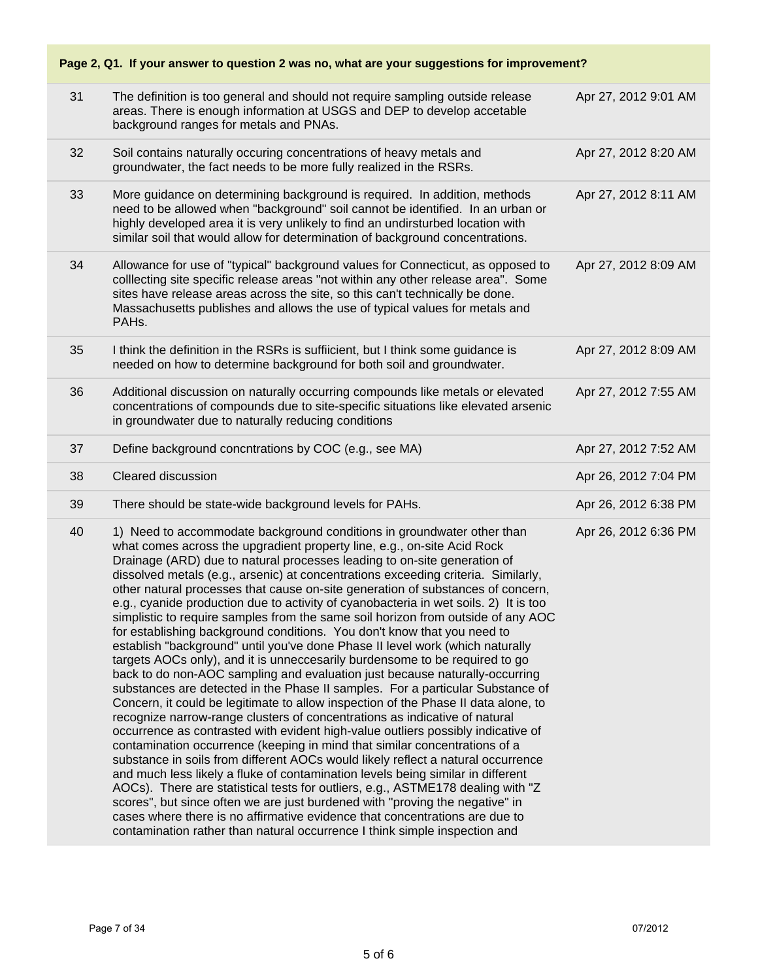| Page 2, Q1. If your answer to question 2 was no, what are your suggestions for improvement? |                                                                                                                                                                                                                                                                                                                                                                                                                                                                                                                                                                                                                                                                                                                                                                                                                                                                                                                                                                                                                                                                                                                                                                                                                                                                                                                                                                                                                                                                                                                                                                                                                                                                                                                                                                                                                                            |                      |
|---------------------------------------------------------------------------------------------|--------------------------------------------------------------------------------------------------------------------------------------------------------------------------------------------------------------------------------------------------------------------------------------------------------------------------------------------------------------------------------------------------------------------------------------------------------------------------------------------------------------------------------------------------------------------------------------------------------------------------------------------------------------------------------------------------------------------------------------------------------------------------------------------------------------------------------------------------------------------------------------------------------------------------------------------------------------------------------------------------------------------------------------------------------------------------------------------------------------------------------------------------------------------------------------------------------------------------------------------------------------------------------------------------------------------------------------------------------------------------------------------------------------------------------------------------------------------------------------------------------------------------------------------------------------------------------------------------------------------------------------------------------------------------------------------------------------------------------------------------------------------------------------------------------------------------------------------|----------------------|
| 31                                                                                          | The definition is too general and should not require sampling outside release<br>areas. There is enough information at USGS and DEP to develop accetable<br>background ranges for metals and PNAs.                                                                                                                                                                                                                                                                                                                                                                                                                                                                                                                                                                                                                                                                                                                                                                                                                                                                                                                                                                                                                                                                                                                                                                                                                                                                                                                                                                                                                                                                                                                                                                                                                                         | Apr 27, 2012 9:01 AM |
| 32                                                                                          | Soil contains naturally occuring concentrations of heavy metals and<br>groundwater, the fact needs to be more fully realized in the RSRs.                                                                                                                                                                                                                                                                                                                                                                                                                                                                                                                                                                                                                                                                                                                                                                                                                                                                                                                                                                                                                                                                                                                                                                                                                                                                                                                                                                                                                                                                                                                                                                                                                                                                                                  | Apr 27, 2012 8:20 AM |
| 33                                                                                          | More guidance on determining background is required. In addition, methods<br>need to be allowed when "background" soil cannot be identified. In an urban or<br>highly developed area it is very unlikely to find an undirsturbed location with<br>similar soil that would allow for determination of background concentrations.                                                                                                                                                                                                                                                                                                                                                                                                                                                                                                                                                                                                                                                                                                                                                                                                                                                                                                                                                                                                                                                                                                                                                                                                                                                                                                                                                                                                                                                                                                            | Apr 27, 2012 8:11 AM |
| 34                                                                                          | Allowance for use of "typical" background values for Connecticut, as opposed to<br>colllecting site specific release areas "not within any other release area". Some<br>sites have release areas across the site, so this can't technically be done.<br>Massachusetts publishes and allows the use of typical values for metals and<br>PAHs.                                                                                                                                                                                                                                                                                                                                                                                                                                                                                                                                                                                                                                                                                                                                                                                                                                                                                                                                                                                                                                                                                                                                                                                                                                                                                                                                                                                                                                                                                               | Apr 27, 2012 8:09 AM |
| 35                                                                                          | I think the definition in the RSRs is suffiicient, but I think some guidance is<br>needed on how to determine background for both soil and groundwater.                                                                                                                                                                                                                                                                                                                                                                                                                                                                                                                                                                                                                                                                                                                                                                                                                                                                                                                                                                                                                                                                                                                                                                                                                                                                                                                                                                                                                                                                                                                                                                                                                                                                                    | Apr 27, 2012 8:09 AM |
| 36                                                                                          | Additional discussion on naturally occurring compounds like metals or elevated<br>concentrations of compounds due to site-specific situations like elevated arsenic<br>in groundwater due to naturally reducing conditions                                                                                                                                                                                                                                                                                                                                                                                                                                                                                                                                                                                                                                                                                                                                                                                                                                                                                                                                                                                                                                                                                                                                                                                                                                                                                                                                                                                                                                                                                                                                                                                                                 | Apr 27, 2012 7:55 AM |
| 37                                                                                          | Define background concntrations by COC (e.g., see MA)                                                                                                                                                                                                                                                                                                                                                                                                                                                                                                                                                                                                                                                                                                                                                                                                                                                                                                                                                                                                                                                                                                                                                                                                                                                                                                                                                                                                                                                                                                                                                                                                                                                                                                                                                                                      | Apr 27, 2012 7:52 AM |
| 38                                                                                          | Cleared discussion                                                                                                                                                                                                                                                                                                                                                                                                                                                                                                                                                                                                                                                                                                                                                                                                                                                                                                                                                                                                                                                                                                                                                                                                                                                                                                                                                                                                                                                                                                                                                                                                                                                                                                                                                                                                                         | Apr 26, 2012 7:04 PM |
| 39                                                                                          | There should be state-wide background levels for PAHs.                                                                                                                                                                                                                                                                                                                                                                                                                                                                                                                                                                                                                                                                                                                                                                                                                                                                                                                                                                                                                                                                                                                                                                                                                                                                                                                                                                                                                                                                                                                                                                                                                                                                                                                                                                                     | Apr 26, 2012 6:38 PM |
| 40                                                                                          | 1) Need to accommodate background conditions in groundwater other than<br>what comes across the upgradient property line, e.g., on-site Acid Rock<br>Drainage (ARD) due to natural processes leading to on-site generation of<br>dissolved metals (e.g., arsenic) at concentrations exceeding criteria. Similarly,<br>other natural processes that cause on-site generation of substances of concern,<br>e.g., cyanide production due to activity of cyanobacteria in wet soils. 2) It is too<br>simplistic to require samples from the same soil horizon from outside of any AOC<br>for establishing background conditions. You don't know that you need to<br>establish "background" until you've done Phase II level work (which naturally<br>targets AOCs only), and it is unneccesarily burdensome to be required to go<br>back to do non-AOC sampling and evaluation just because naturally-occurring<br>substances are detected in the Phase II samples. For a particular Substance of<br>Concern, it could be legitimate to allow inspection of the Phase II data alone, to<br>recognize narrow-range clusters of concentrations as indicative of natural<br>occurrence as contrasted with evident high-value outliers possibly indicative of<br>contamination occurrence (keeping in mind that similar concentrations of a<br>substance in soils from different AOCs would likely reflect a natural occurrence<br>and much less likely a fluke of contamination levels being similar in different<br>AOCs). There are statistical tests for outliers, e.g., ASTME178 dealing with "Z<br>scores", but since often we are just burdened with "proving the negative" in<br>cases where there is no affirmative evidence that concentrations are due to<br>contamination rather than natural occurrence I think simple inspection and | Apr 26, 2012 6:36 PM |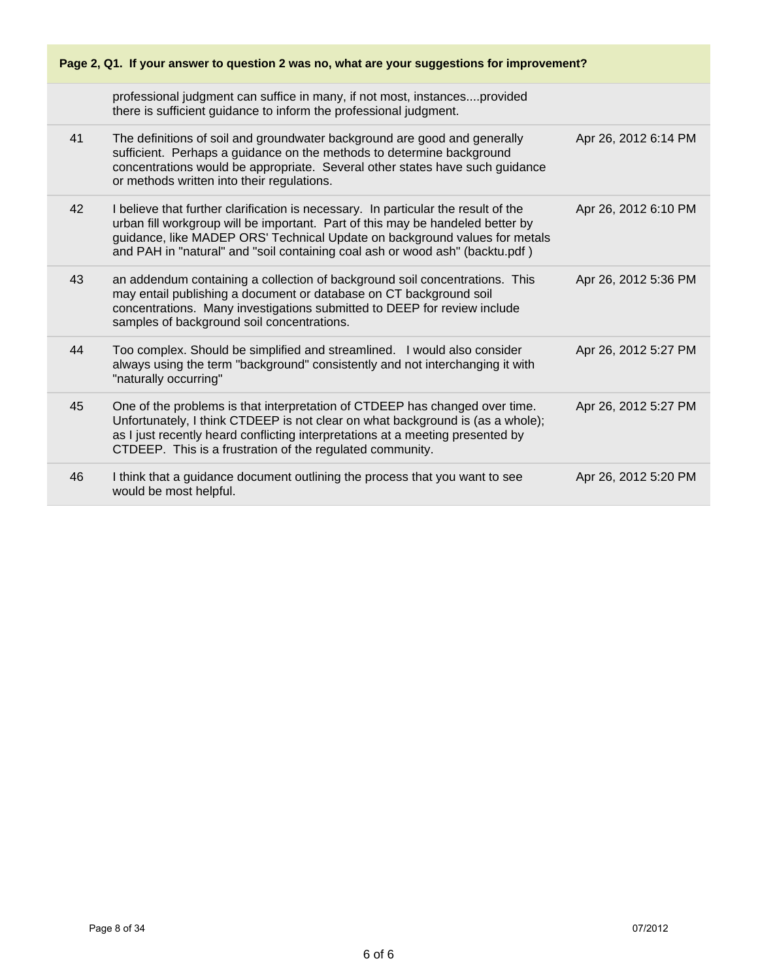| Page 2, Q1. If your answer to question 2 was no, what are your suggestions for improvement? |                                                                                                                                                                                                                                                                                                                                    |                      |
|---------------------------------------------------------------------------------------------|------------------------------------------------------------------------------------------------------------------------------------------------------------------------------------------------------------------------------------------------------------------------------------------------------------------------------------|----------------------|
|                                                                                             | professional judgment can suffice in many, if not most, instancesprovided<br>there is sufficient guidance to inform the professional judgment.                                                                                                                                                                                     |                      |
| 41                                                                                          | The definitions of soil and groundwater background are good and generally<br>sufficient. Perhaps a guidance on the methods to determine background<br>concentrations would be appropriate. Several other states have such guidance<br>or methods written into their regulations.                                                   | Apr 26, 2012 6:14 PM |
| 42                                                                                          | I believe that further clarification is necessary. In particular the result of the<br>urban fill workgroup will be important. Part of this may be handeled better by<br>guidance, like MADEP ORS' Technical Update on background values for metals<br>and PAH in "natural" and "soil containing coal ash or wood ash" (backtu.pdf) | Apr 26, 2012 6:10 PM |
| 43                                                                                          | an addendum containing a collection of background soil concentrations. This<br>may entail publishing a document or database on CT background soil<br>concentrations. Many investigations submitted to DEEP for review include<br>samples of background soil concentrations.                                                        | Apr 26, 2012 5:36 PM |
| 44                                                                                          | Too complex. Should be simplified and streamlined. I would also consider<br>always using the term "background" consistently and not interchanging it with<br>"naturally occurring"                                                                                                                                                 | Apr 26, 2012 5:27 PM |
| 45                                                                                          | One of the problems is that interpretation of CTDEEP has changed over time.<br>Unfortunately, I think CTDEEP is not clear on what background is (as a whole);<br>as I just recently heard conflicting interpretations at a meeting presented by<br>CTDEEP. This is a frustration of the regulated community.                       | Apr 26, 2012 5:27 PM |
| 46                                                                                          | I think that a guidance document outlining the process that you want to see<br>would be most helpful.                                                                                                                                                                                                                              | Apr 26, 2012 5:20 PM |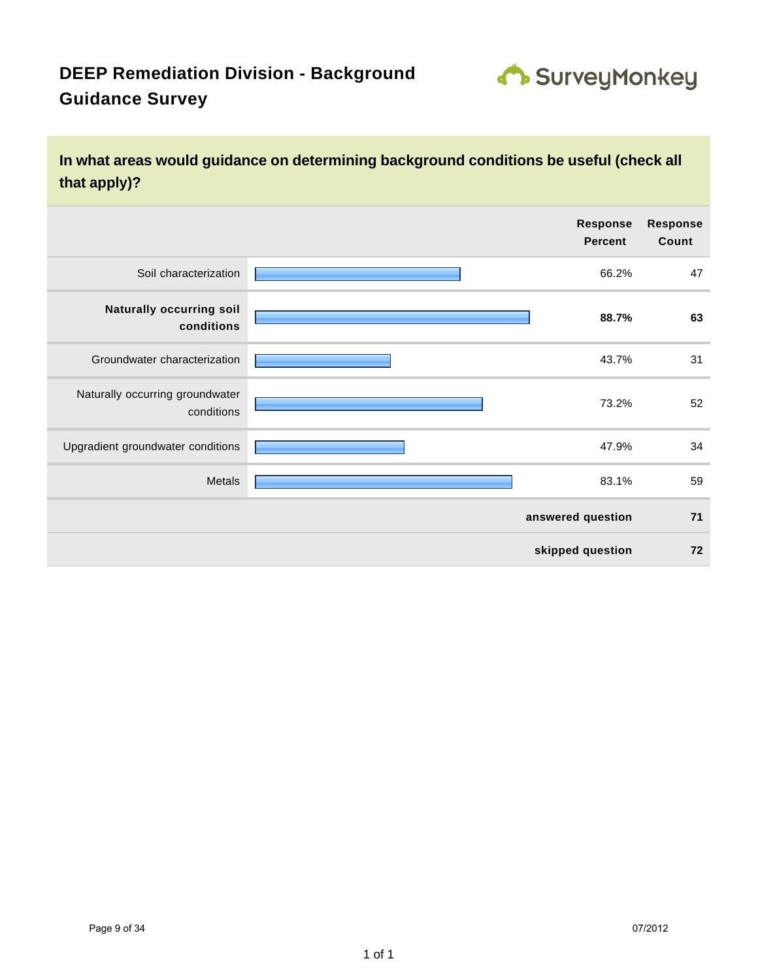

### **In what areas would guidance on determining background conditions be useful (check all that apply)?**

|                                               | <b>Response</b><br><b>Percent</b> | <b>Response</b><br>Count |
|-----------------------------------------------|-----------------------------------|--------------------------|
| Soil characterization                         | 66.2%                             | 47                       |
| <b>Naturally occurring soil</b><br>conditions | 88.7%                             | 63                       |
| Groundwater characterization                  | 43.7%                             | 31                       |
| Naturally occurring groundwater<br>conditions | 73.2%                             | 52                       |
| Upgradient groundwater conditions             | 47.9%                             | 34                       |
| Metals                                        | 83.1%                             | 59                       |
|                                               | answered question                 | 71                       |
|                                               | skipped question                  | 72                       |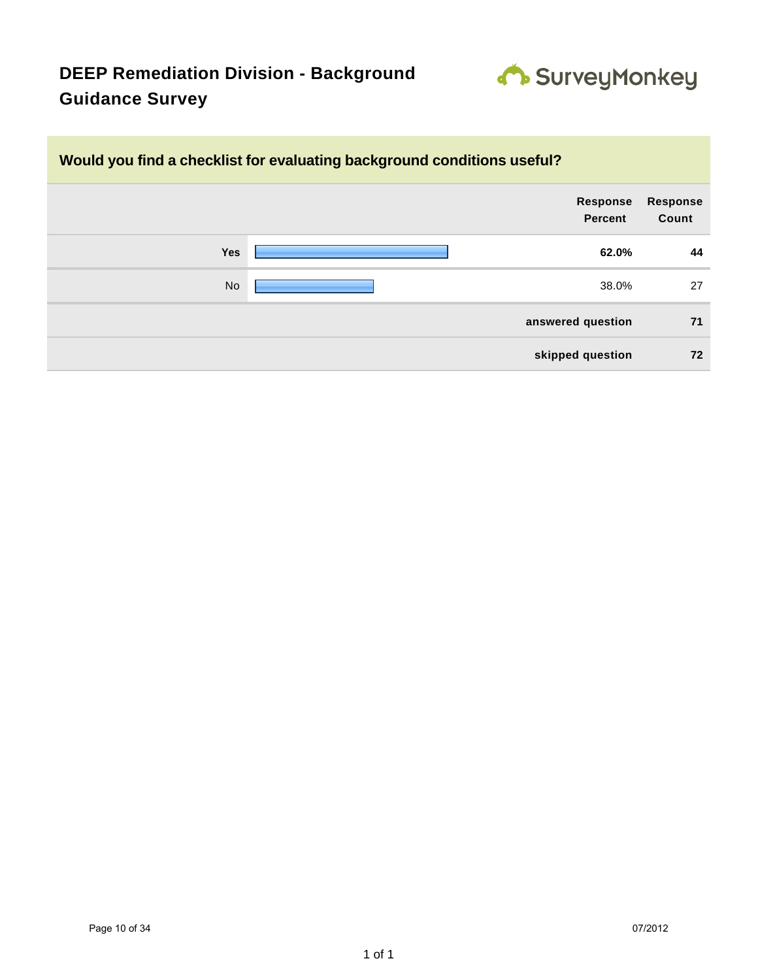

### **Would you find a checklist for evaluating background conditions useful?**

|           | Response<br>Percent | <b>Response</b><br>Count |
|-----------|---------------------|--------------------------|
| Yes       | 62.0%               | 44                       |
| <b>No</b> | 38.0%               | 27                       |
|           | answered question   | 71                       |
|           | skipped question    | 72                       |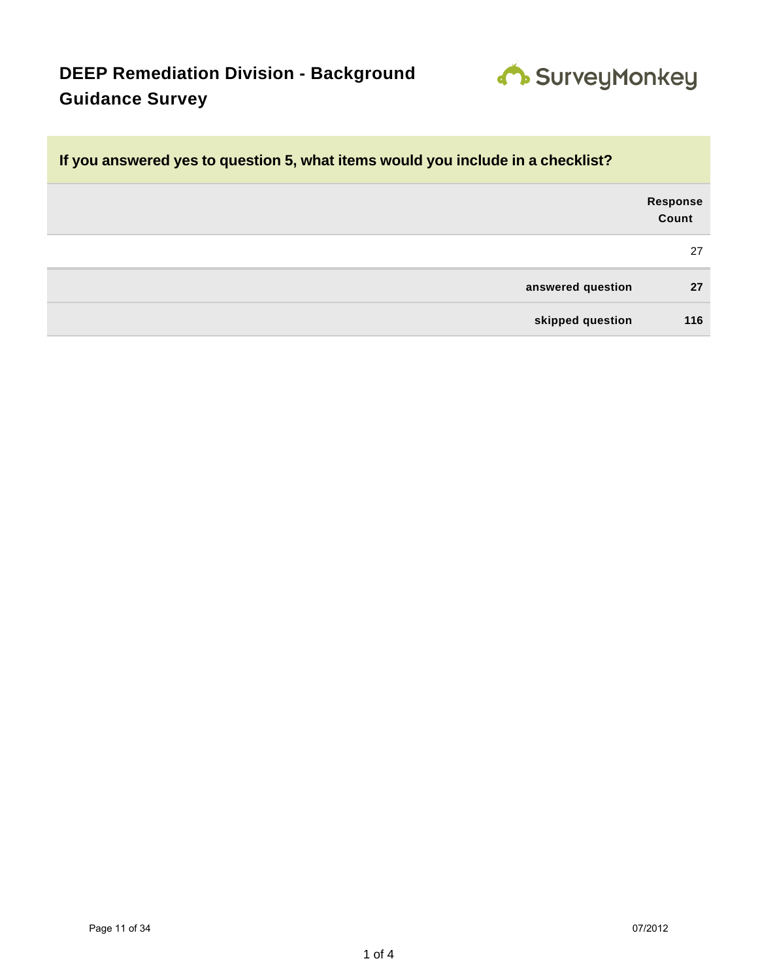

| If you answered yes to question 5, what items would you include in a checklist? |                          |  |
|---------------------------------------------------------------------------------|--------------------------|--|
|                                                                                 | <b>Response</b><br>Count |  |
|                                                                                 | 27                       |  |
| answered question                                                               | 27                       |  |
| skipped question                                                                | 116                      |  |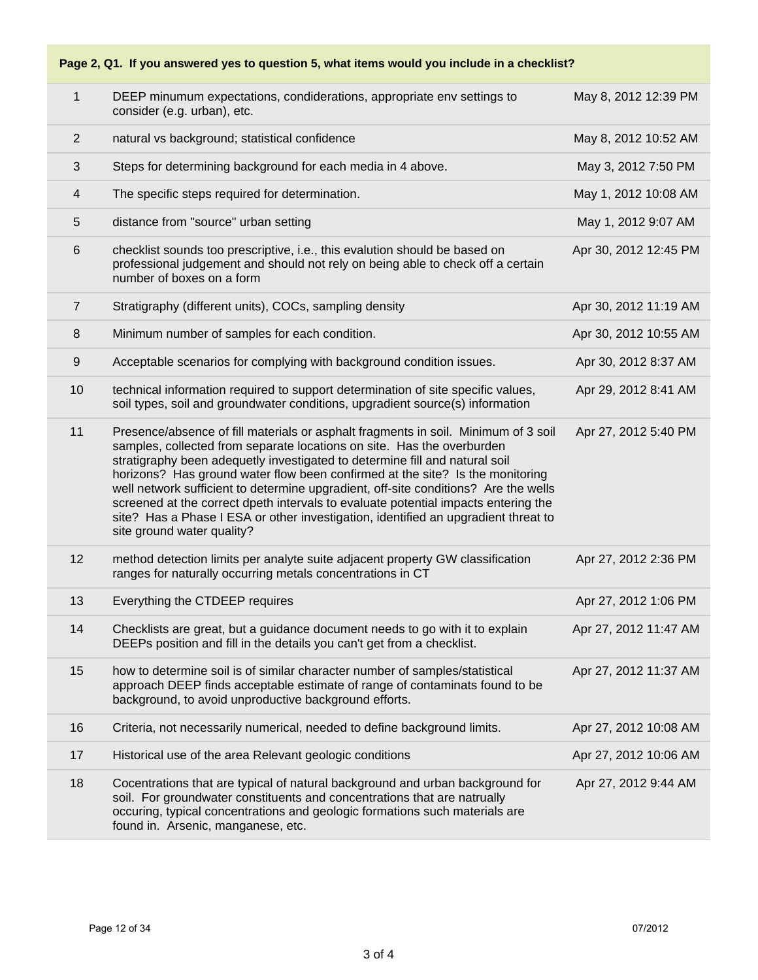### **Page 2, Q1. If you answered yes to question 5, what items would you include in a checklist?**

| $\mathbf{1}$            | DEEP minumum expectations, condiderations, appropriate env settings to<br>consider (e.g. urban), etc.                                                                                                                                                                                                                                                                                                                                                                                                                                                                                                                         | May 8, 2012 12:39 PM  |
|-------------------------|-------------------------------------------------------------------------------------------------------------------------------------------------------------------------------------------------------------------------------------------------------------------------------------------------------------------------------------------------------------------------------------------------------------------------------------------------------------------------------------------------------------------------------------------------------------------------------------------------------------------------------|-----------------------|
| $\overline{2}$          | natural vs background; statistical confidence                                                                                                                                                                                                                                                                                                                                                                                                                                                                                                                                                                                 | May 8, 2012 10:52 AM  |
| 3                       | Steps for determining background for each media in 4 above.                                                                                                                                                                                                                                                                                                                                                                                                                                                                                                                                                                   | May 3, 2012 7:50 PM   |
| $\overline{\mathbf{4}}$ | The specific steps required for determination.                                                                                                                                                                                                                                                                                                                                                                                                                                                                                                                                                                                | May 1, 2012 10:08 AM  |
| 5                       | distance from "source" urban setting                                                                                                                                                                                                                                                                                                                                                                                                                                                                                                                                                                                          | May 1, 2012 9:07 AM   |
| 6                       | checklist sounds too prescriptive, i.e., this evalution should be based on<br>professional judgement and should not rely on being able to check off a certain<br>number of boxes on a form                                                                                                                                                                                                                                                                                                                                                                                                                                    | Apr 30, 2012 12:45 PM |
| $\overline{7}$          | Stratigraphy (different units), COCs, sampling density                                                                                                                                                                                                                                                                                                                                                                                                                                                                                                                                                                        | Apr 30, 2012 11:19 AM |
| 8                       | Minimum number of samples for each condition.                                                                                                                                                                                                                                                                                                                                                                                                                                                                                                                                                                                 | Apr 30, 2012 10:55 AM |
| 9                       | Acceptable scenarios for complying with background condition issues.                                                                                                                                                                                                                                                                                                                                                                                                                                                                                                                                                          | Apr 30, 2012 8:37 AM  |
| 10                      | technical information required to support determination of site specific values,<br>soil types, soil and groundwater conditions, upgradient source(s) information                                                                                                                                                                                                                                                                                                                                                                                                                                                             | Apr 29, 2012 8:41 AM  |
| 11                      | Presence/absence of fill materials or asphalt fragments in soil. Minimum of 3 soil<br>samples, collected from separate locations on site. Has the overburden<br>stratigraphy been adequetly investigated to determine fill and natural soil<br>horizons? Has ground water flow been confirmed at the site? Is the monitoring<br>well network sufficient to determine upgradient, off-site conditions? Are the wells<br>screened at the correct dpeth intervals to evaluate potential impacts entering the<br>site? Has a Phase I ESA or other investigation, identified an upgradient threat to<br>site ground water quality? | Apr 27, 2012 5:40 PM  |
| 12                      | method detection limits per analyte suite adjacent property GW classification<br>ranges for naturally occurring metals concentrations in CT                                                                                                                                                                                                                                                                                                                                                                                                                                                                                   | Apr 27, 2012 2:36 PM  |
| 13                      | Everything the CTDEEP requires                                                                                                                                                                                                                                                                                                                                                                                                                                                                                                                                                                                                | Apr 27, 2012 1:06 PM  |
| 14                      | Checklists are great, but a guidance document needs to go with it to explain<br>DEEPs position and fill in the details you can't get from a checklist.                                                                                                                                                                                                                                                                                                                                                                                                                                                                        | Apr 27, 2012 11:47 AM |
| 15                      | how to determine soil is of similar character number of samples/statistical<br>approach DEEP finds acceptable estimate of range of contaminats found to be<br>background, to avoid unproductive background efforts.                                                                                                                                                                                                                                                                                                                                                                                                           | Apr 27, 2012 11:37 AM |
| 16                      | Criteria, not necessarily numerical, needed to define background limits.                                                                                                                                                                                                                                                                                                                                                                                                                                                                                                                                                      | Apr 27, 2012 10:08 AM |
| 17                      | Historical use of the area Relevant geologic conditions                                                                                                                                                                                                                                                                                                                                                                                                                                                                                                                                                                       | Apr 27, 2012 10:06 AM |
| 18                      | Cocentrations that are typical of natural background and urban background for<br>soil. For groundwater constituents and concentrations that are natrually<br>occuring, typical concentrations and geologic formations such materials are<br>found in. Arsenic, manganese, etc.                                                                                                                                                                                                                                                                                                                                                | Apr 27, 2012 9:44 AM  |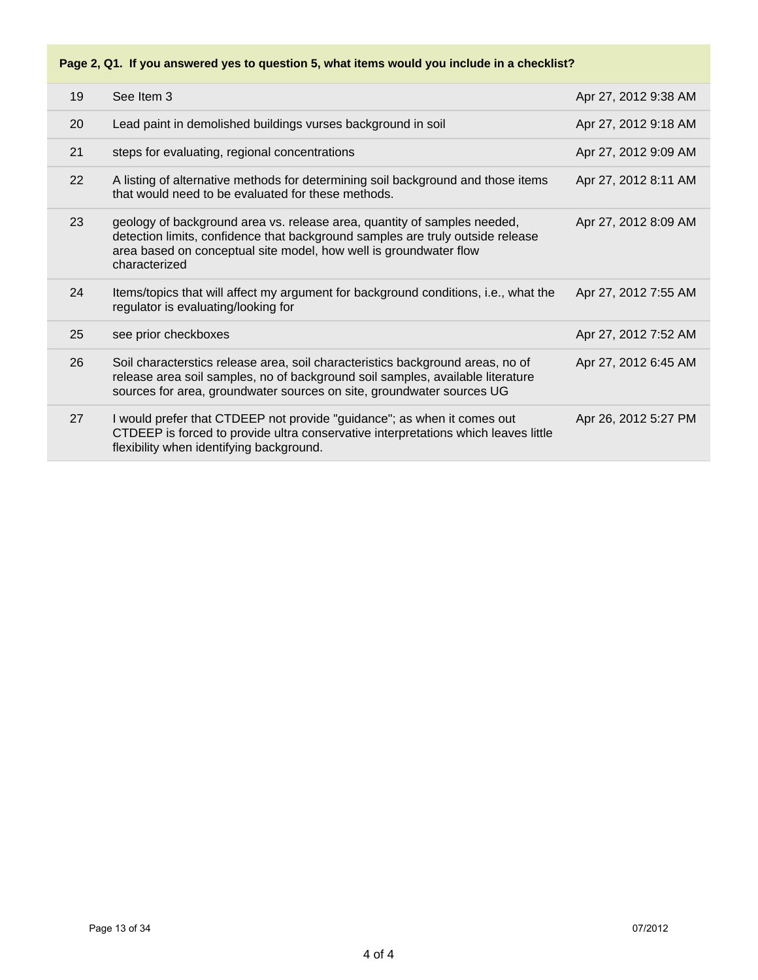### **Page 2, Q1. If you answered yes to question 5, what items would you include in a checklist?**

| 19 | See Item 3                                                                                                                                                                                                                                       | Apr 27, 2012 9:38 AM |
|----|--------------------------------------------------------------------------------------------------------------------------------------------------------------------------------------------------------------------------------------------------|----------------------|
| 20 | Lead paint in demolished buildings vurses background in soil                                                                                                                                                                                     | Apr 27, 2012 9:18 AM |
| 21 | steps for evaluating, regional concentrations                                                                                                                                                                                                    | Apr 27, 2012 9:09 AM |
| 22 | A listing of alternative methods for determining soil background and those items<br>that would need to be evaluated for these methods.                                                                                                           | Apr 27, 2012 8:11 AM |
| 23 | geology of background area vs. release area, quantity of samples needed,<br>detection limits, confidence that background samples are truly outside release<br>area based on conceptual site model, how well is groundwater flow<br>characterized | Apr 27, 2012 8:09 AM |
| 24 | Items/topics that will affect my argument for background conditions, i.e., what the<br>regulator is evaluating/looking for                                                                                                                       | Apr 27, 2012 7:55 AM |
| 25 | see prior checkboxes                                                                                                                                                                                                                             | Apr 27, 2012 7:52 AM |
| 26 | Soil characterstics release area, soil characteristics background areas, no of<br>release area soil samples, no of background soil samples, available literature<br>sources for area, groundwater sources on site, groundwater sources UG        | Apr 27, 2012 6:45 AM |
| 27 | I would prefer that CTDEEP not provide "guidance"; as when it comes out<br>CTDEEP is forced to provide ultra conservative interpretations which leaves little<br>flexibility when identifying background.                                        | Apr 26, 2012 5:27 PM |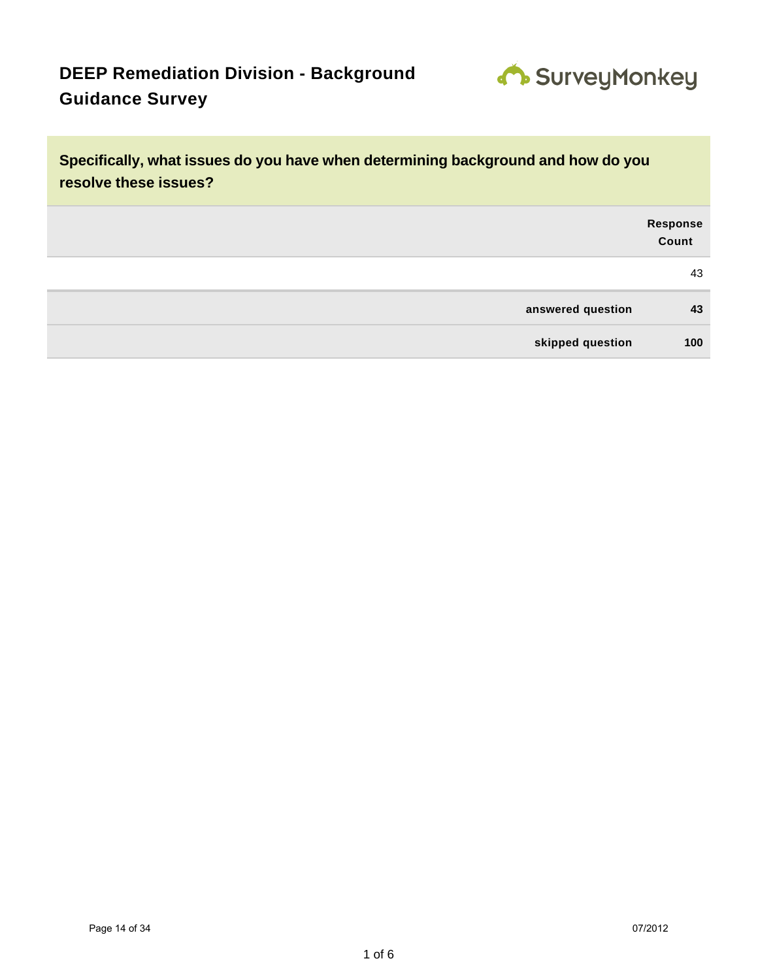

**Specifically, what issues do you have when determining background and how do you resolve these issues? Response Count** 43 **answered question 43 skipped question 100**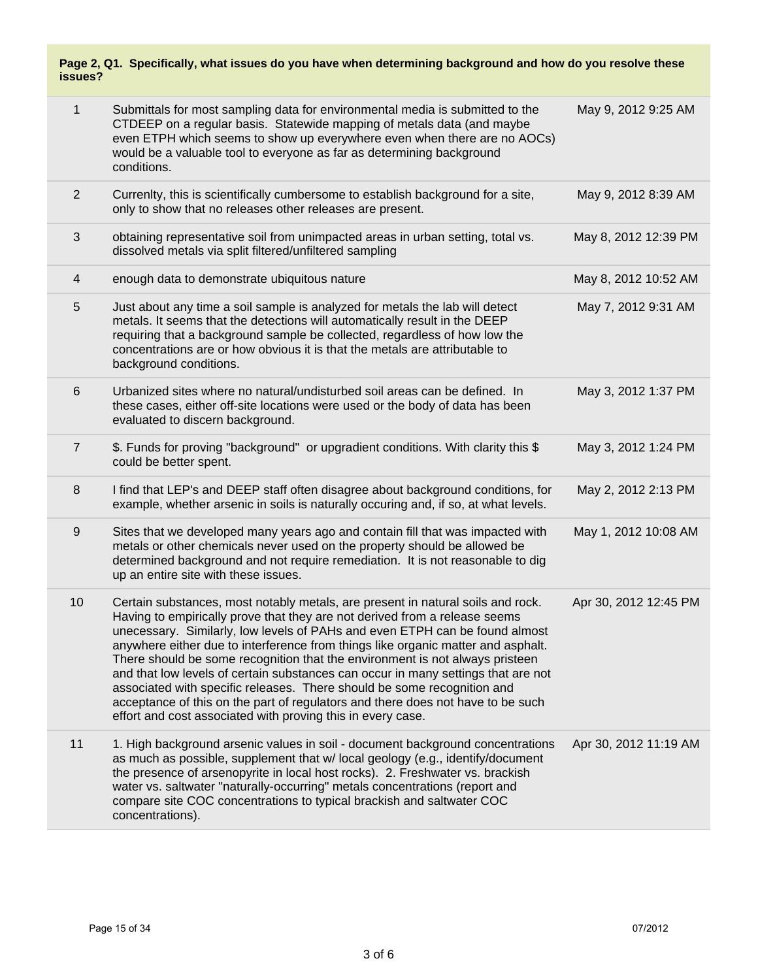#### **Page 2, Q1. Specifically, what issues do you have when determining background and how do you resolve these issues?**

| 1                | Submittals for most sampling data for environmental media is submitted to the<br>CTDEEP on a regular basis. Statewide mapping of metals data (and maybe<br>even ETPH which seems to show up everywhere even when there are no AOCs)<br>would be a valuable tool to everyone as far as determining background<br>conditions.                                                                                                                                                                                                                                                                                                                                                                                                        | May 9, 2012 9:25 AM   |
|------------------|------------------------------------------------------------------------------------------------------------------------------------------------------------------------------------------------------------------------------------------------------------------------------------------------------------------------------------------------------------------------------------------------------------------------------------------------------------------------------------------------------------------------------------------------------------------------------------------------------------------------------------------------------------------------------------------------------------------------------------|-----------------------|
| $\overline{2}$   | Currenlty, this is scientifically cumbersome to establish background for a site,<br>only to show that no releases other releases are present.                                                                                                                                                                                                                                                                                                                                                                                                                                                                                                                                                                                      | May 9, 2012 8:39 AM   |
| 3                | obtaining representative soil from unimpacted areas in urban setting, total vs.<br>dissolved metals via split filtered/unfiltered sampling                                                                                                                                                                                                                                                                                                                                                                                                                                                                                                                                                                                         | May 8, 2012 12:39 PM  |
| $\overline{4}$   | enough data to demonstrate ubiquitous nature                                                                                                                                                                                                                                                                                                                                                                                                                                                                                                                                                                                                                                                                                       | May 8, 2012 10:52 AM  |
| 5                | Just about any time a soil sample is analyzed for metals the lab will detect<br>metals. It seems that the detections will automatically result in the DEEP<br>requiring that a background sample be collected, regardless of how low the<br>concentrations are or how obvious it is that the metals are attributable to<br>background conditions.                                                                                                                                                                                                                                                                                                                                                                                  | May 7, 2012 9:31 AM   |
| $6\phantom{1}6$  | Urbanized sites where no natural/undisturbed soil areas can be defined. In<br>these cases, either off-site locations were used or the body of data has been<br>evaluated to discern background.                                                                                                                                                                                                                                                                                                                                                                                                                                                                                                                                    | May 3, 2012 1:37 PM   |
| $\overline{7}$   | \$. Funds for proving "background" or upgradient conditions. With clarity this \$<br>could be better spent.                                                                                                                                                                                                                                                                                                                                                                                                                                                                                                                                                                                                                        | May 3, 2012 1:24 PM   |
| 8                | I find that LEP's and DEEP staff often disagree about background conditions, for<br>example, whether arsenic in soils is naturally occuring and, if so, at what levels.                                                                                                                                                                                                                                                                                                                                                                                                                                                                                                                                                            | May 2, 2012 2:13 PM   |
| $\boldsymbol{9}$ | Sites that we developed many years ago and contain fill that was impacted with<br>metals or other chemicals never used on the property should be allowed be<br>determined background and not require remediation. It is not reasonable to dig<br>up an entire site with these issues.                                                                                                                                                                                                                                                                                                                                                                                                                                              | May 1, 2012 10:08 AM  |
| 10               | Certain substances, most notably metals, are present in natural soils and rock.<br>Having to empirically prove that they are not derived from a release seems<br>unecessary. Similarly, low levels of PAHs and even ETPH can be found almost<br>anywhere either due to interference from things like organic matter and asphalt.<br>There should be some recognition that the environment is not always pristeen<br>and that low levels of certain substances can occur in many settings that are not<br>associated with specific releases. There should be some recognition and<br>acceptance of this on the part of regulators and there does not have to be such<br>effort and cost associated with proving this in every case. | Apr 30, 2012 12:45 PM |
| 11               | 1. High background arsenic values in soil - document background concentrations<br>as much as possible, supplement that w/ local geology (e.g., identify/document<br>the presence of arsenopyrite in local host rocks). 2. Freshwater vs. brackish<br>water vs. saltwater "naturally-occurring" metals concentrations (report and<br>compare site COC concentrations to typical brackish and saltwater COC<br>concentrations).                                                                                                                                                                                                                                                                                                      | Apr 30, 2012 11:19 AM |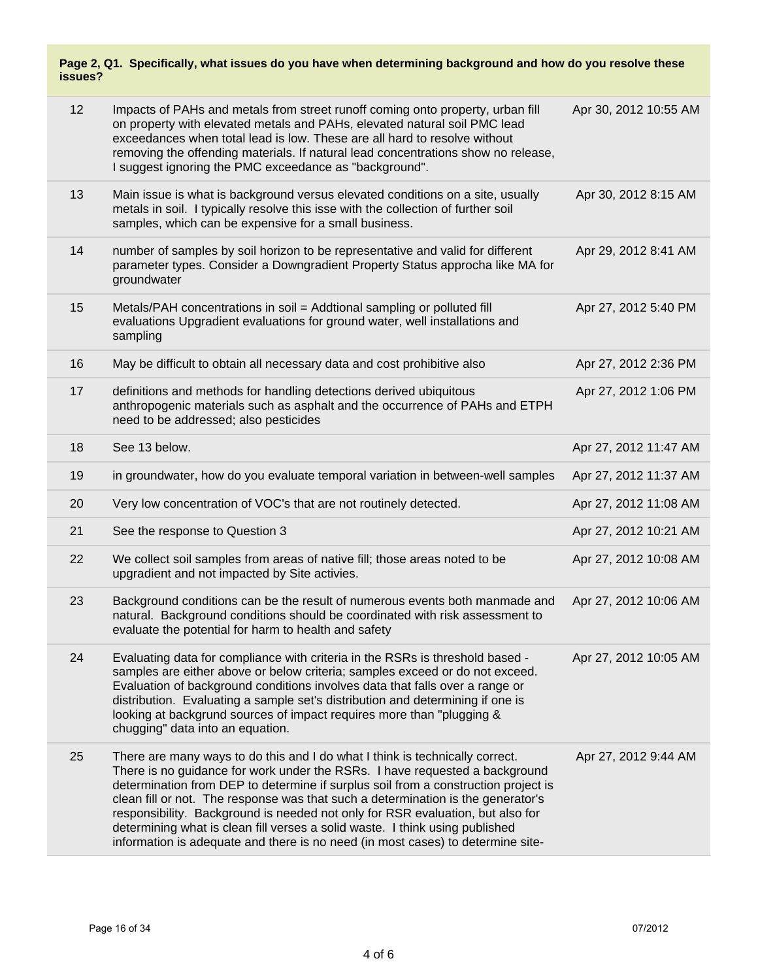#### **Page 2, Q1. Specifically, what issues do you have when determining background and how do you resolve these issues?**

| 12 | Impacts of PAHs and metals from street runoff coming onto property, urban fill<br>on property with elevated metals and PAHs, elevated natural soil PMC lead<br>exceedances when total lead is low. These are all hard to resolve without<br>removing the offending materials. If natural lead concentrations show no release,<br>I suggest ignoring the PMC exceedance as "background".                                                                                                                                                                                                    | Apr 30, 2012 10:55 AM |
|----|--------------------------------------------------------------------------------------------------------------------------------------------------------------------------------------------------------------------------------------------------------------------------------------------------------------------------------------------------------------------------------------------------------------------------------------------------------------------------------------------------------------------------------------------------------------------------------------------|-----------------------|
| 13 | Main issue is what is background versus elevated conditions on a site, usually<br>metals in soil. I typically resolve this isse with the collection of further soil<br>samples, which can be expensive for a small business.                                                                                                                                                                                                                                                                                                                                                               | Apr 30, 2012 8:15 AM  |
| 14 | number of samples by soil horizon to be representative and valid for different<br>parameter types. Consider a Downgradient Property Status approcha like MA for<br>groundwater                                                                                                                                                                                                                                                                                                                                                                                                             | Apr 29, 2012 8:41 AM  |
| 15 | Metals/PAH concentrations in soil = Addtional sampling or polluted fill<br>evaluations Upgradient evaluations for ground water, well installations and<br>sampling                                                                                                                                                                                                                                                                                                                                                                                                                         | Apr 27, 2012 5:40 PM  |
| 16 | May be difficult to obtain all necessary data and cost prohibitive also                                                                                                                                                                                                                                                                                                                                                                                                                                                                                                                    | Apr 27, 2012 2:36 PM  |
| 17 | definitions and methods for handling detections derived ubiquitous<br>anthropogenic materials such as asphalt and the occurrence of PAHs and ETPH<br>need to be addressed; also pesticides                                                                                                                                                                                                                                                                                                                                                                                                 | Apr 27, 2012 1:06 PM  |
| 18 | See 13 below.                                                                                                                                                                                                                                                                                                                                                                                                                                                                                                                                                                              | Apr 27, 2012 11:47 AM |
| 19 | in groundwater, how do you evaluate temporal variation in between-well samples                                                                                                                                                                                                                                                                                                                                                                                                                                                                                                             | Apr 27, 2012 11:37 AM |
| 20 | Very low concentration of VOC's that are not routinely detected.                                                                                                                                                                                                                                                                                                                                                                                                                                                                                                                           | Apr 27, 2012 11:08 AM |
| 21 | See the response to Question 3                                                                                                                                                                                                                                                                                                                                                                                                                                                                                                                                                             | Apr 27, 2012 10:21 AM |
| 22 | We collect soil samples from areas of native fill; those areas noted to be<br>upgradient and not impacted by Site activies.                                                                                                                                                                                                                                                                                                                                                                                                                                                                | Apr 27, 2012 10:08 AM |
| 23 | Background conditions can be the result of numerous events both manmade and<br>natural. Background conditions should be coordinated with risk assessment to<br>evaluate the potential for harm to health and safety                                                                                                                                                                                                                                                                                                                                                                        | Apr 27, 2012 10:06 AM |
| 24 | Evaluating data for compliance with criteria in the RSRs is threshold based -<br>samples are either above or below criteria; samples exceed or do not exceed.<br>Evaluation of background conditions involves data that falls over a range or<br>distribution. Evaluating a sample set's distribution and determining if one is<br>looking at backgrund sources of impact requires more than "plugging &<br>chugging" data into an equation.                                                                                                                                               | Apr 27, 2012 10:05 AM |
| 25 | There are many ways to do this and I do what I think is technically correct.<br>There is no guidance for work under the RSRs. I have requested a background<br>determination from DEP to determine if surplus soil from a construction project is<br>clean fill or not. The response was that such a determination is the generator's<br>responsibility. Background is needed not only for RSR evaluation, but also for<br>determining what is clean fill verses a solid waste. I think using published<br>information is adequate and there is no need (in most cases) to determine site- | Apr 27, 2012 9:44 AM  |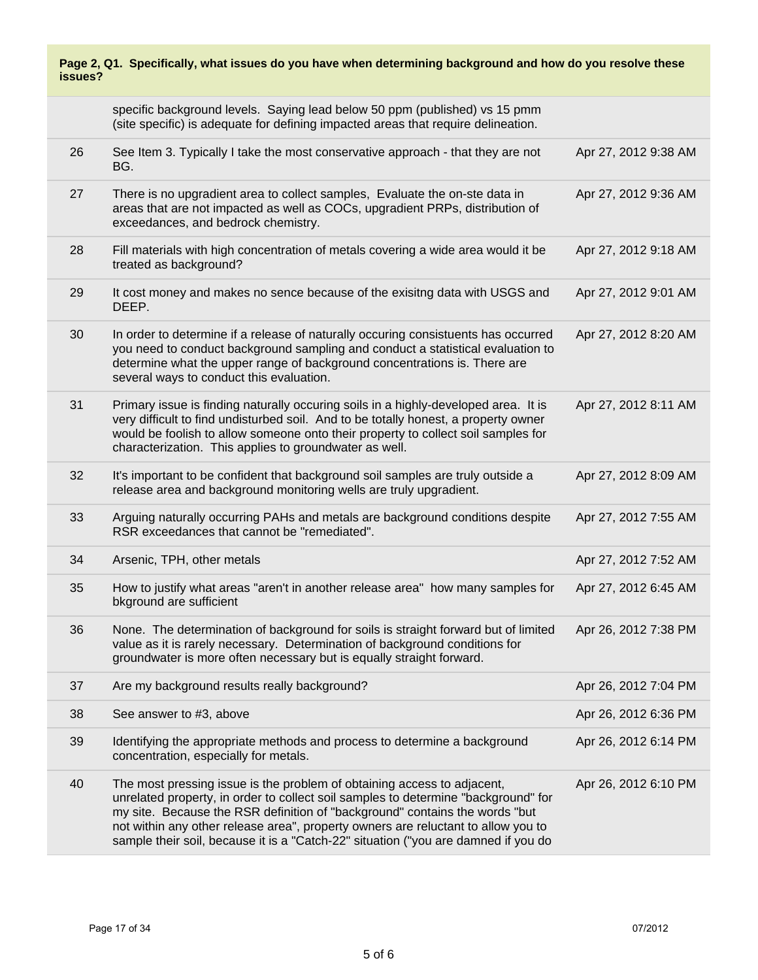| Page 2, Q1. Specifically, what issues do you have when determining background and how do you resolve these<br>issues? |                                                                                                                                                                                                                                                                                                                                                                                                                         |                      |
|-----------------------------------------------------------------------------------------------------------------------|-------------------------------------------------------------------------------------------------------------------------------------------------------------------------------------------------------------------------------------------------------------------------------------------------------------------------------------------------------------------------------------------------------------------------|----------------------|
|                                                                                                                       | specific background levels. Saying lead below 50 ppm (published) vs 15 pmm<br>(site specific) is adequate for defining impacted areas that require delineation.                                                                                                                                                                                                                                                         |                      |
| 26                                                                                                                    | See Item 3. Typically I take the most conservative approach - that they are not<br>BG.                                                                                                                                                                                                                                                                                                                                  | Apr 27, 2012 9:38 AM |
| 27                                                                                                                    | There is no upgradient area to collect samples, Evaluate the on-ste data in<br>areas that are not impacted as well as COCs, upgradient PRPs, distribution of<br>exceedances, and bedrock chemistry.                                                                                                                                                                                                                     | Apr 27, 2012 9:36 AM |
| 28                                                                                                                    | Fill materials with high concentration of metals covering a wide area would it be<br>treated as background?                                                                                                                                                                                                                                                                                                             | Apr 27, 2012 9:18 AM |
| 29                                                                                                                    | It cost money and makes no sence because of the exisitng data with USGS and<br>DEEP.                                                                                                                                                                                                                                                                                                                                    | Apr 27, 2012 9:01 AM |
| 30                                                                                                                    | In order to determine if a release of naturally occuring consistuents has occurred<br>you need to conduct background sampling and conduct a statistical evaluation to<br>determine what the upper range of background concentrations is. There are<br>several ways to conduct this evaluation.                                                                                                                          | Apr 27, 2012 8:20 AM |
| 31                                                                                                                    | Primary issue is finding naturally occuring soils in a highly-developed area. It is<br>very difficult to find undisturbed soil. And to be totally honest, a property owner<br>would be foolish to allow someone onto their property to collect soil samples for<br>characterization. This applies to groundwater as well.                                                                                               | Apr 27, 2012 8:11 AM |
| 32                                                                                                                    | It's important to be confident that background soil samples are truly outside a<br>release area and background monitoring wells are truly upgradient.                                                                                                                                                                                                                                                                   | Apr 27, 2012 8:09 AM |
| 33                                                                                                                    | Arguing naturally occurring PAHs and metals are background conditions despite<br>RSR exceedances that cannot be "remediated".                                                                                                                                                                                                                                                                                           | Apr 27, 2012 7:55 AM |
| 34                                                                                                                    | Arsenic, TPH, other metals                                                                                                                                                                                                                                                                                                                                                                                              | Apr 27, 2012 7:52 AM |
| 35                                                                                                                    | How to justify what areas "aren't in another release area" how many samples for<br>bkground are sufficient                                                                                                                                                                                                                                                                                                              | Apr 27, 2012 6:45 AM |
| 36                                                                                                                    | None. The determination of background for soils is straight forward but of limited<br>value as it is rarely necessary. Determination of background conditions for<br>groundwater is more often necessary but is equally straight forward.                                                                                                                                                                               | Apr 26, 2012 7:38 PM |
| 37                                                                                                                    | Are my background results really background?                                                                                                                                                                                                                                                                                                                                                                            | Apr 26, 2012 7:04 PM |
| 38                                                                                                                    | See answer to #3, above                                                                                                                                                                                                                                                                                                                                                                                                 | Apr 26, 2012 6:36 PM |
| 39                                                                                                                    | Identifying the appropriate methods and process to determine a background<br>concentration, especially for metals.                                                                                                                                                                                                                                                                                                      | Apr 26, 2012 6:14 PM |
| 40                                                                                                                    | The most pressing issue is the problem of obtaining access to adjacent,<br>unrelated property, in order to collect soil samples to determine "background" for<br>my site. Because the RSR definition of "background" contains the words "but<br>not within any other release area", property owners are reluctant to allow you to<br>sample their soil, because it is a "Catch-22" situation ("you are damned if you do | Apr 26, 2012 6:10 PM |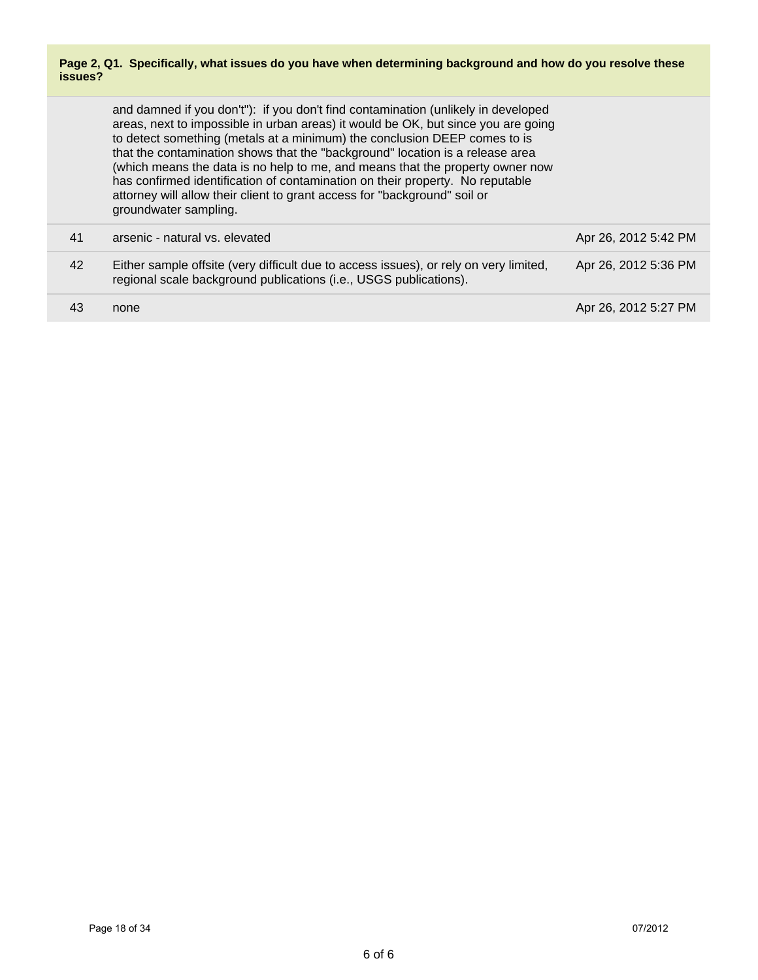#### **Page 2, Q1. Specifically, what issues do you have when determining background and how do you resolve these issues?**

|    | and damned if you don't"): if you don't find contamination (unlikely in developed<br>areas, next to impossible in urban areas) it would be OK, but since you are going<br>to detect something (metals at a minimum) the conclusion DEEP comes to is<br>that the contamination shows that the "background" location is a release area<br>(which means the data is no help to me, and means that the property owner now<br>has confirmed identification of contamination on their property. No reputable<br>attorney will allow their client to grant access for "background" soil or<br>groundwater sampling. |                      |
|----|--------------------------------------------------------------------------------------------------------------------------------------------------------------------------------------------------------------------------------------------------------------------------------------------------------------------------------------------------------------------------------------------------------------------------------------------------------------------------------------------------------------------------------------------------------------------------------------------------------------|----------------------|
| 41 | arsenic - natural vs. elevated                                                                                                                                                                                                                                                                                                                                                                                                                                                                                                                                                                               | Apr 26, 2012 5:42 PM |
| 42 | Either sample offsite (very difficult due to access issues), or rely on very limited,<br>regional scale background publications (i.e., USGS publications).                                                                                                                                                                                                                                                                                                                                                                                                                                                   | Apr 26, 2012 5:36 PM |
| 43 | none                                                                                                                                                                                                                                                                                                                                                                                                                                                                                                                                                                                                         | Apr 26, 2012 5:27 PM |
|    |                                                                                                                                                                                                                                                                                                                                                                                                                                                                                                                                                                                                              |                      |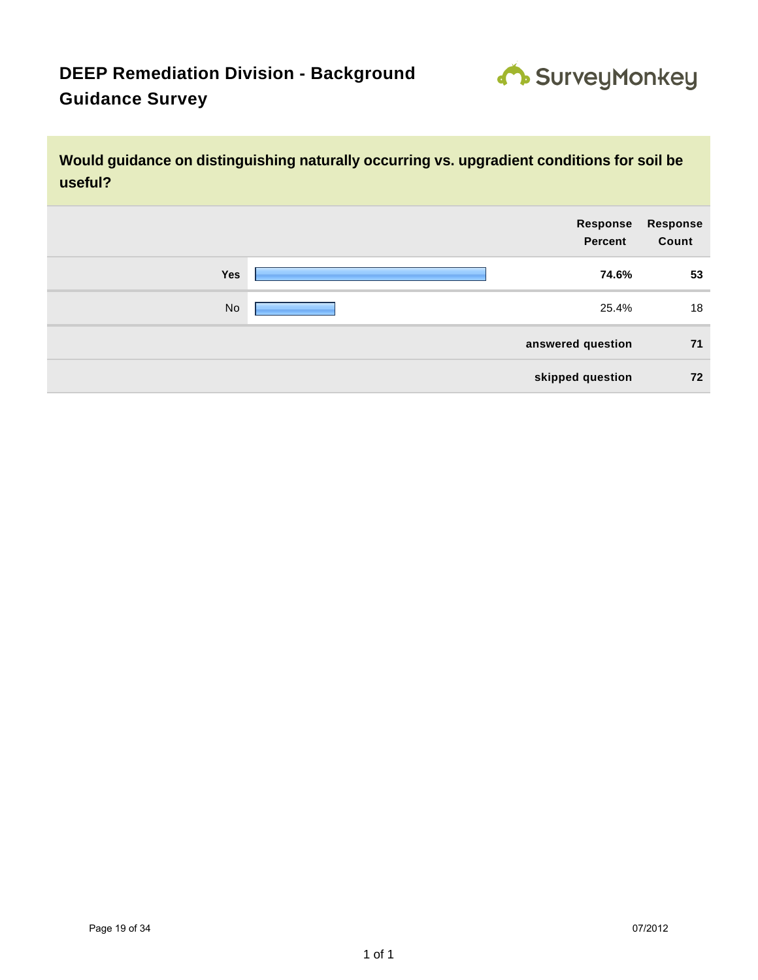

**Would guidance on distinguishing naturally occurring vs. upgradient conditions for soil be useful?**

| <b>Response</b><br>Count | Response<br><b>Percent</b> |     |
|--------------------------|----------------------------|-----|
| 53                       | 74.6%                      | Yes |
| 18                       | 25.4%                      | No  |
| 71                       | answered question          |     |
| 72                       | skipped question           |     |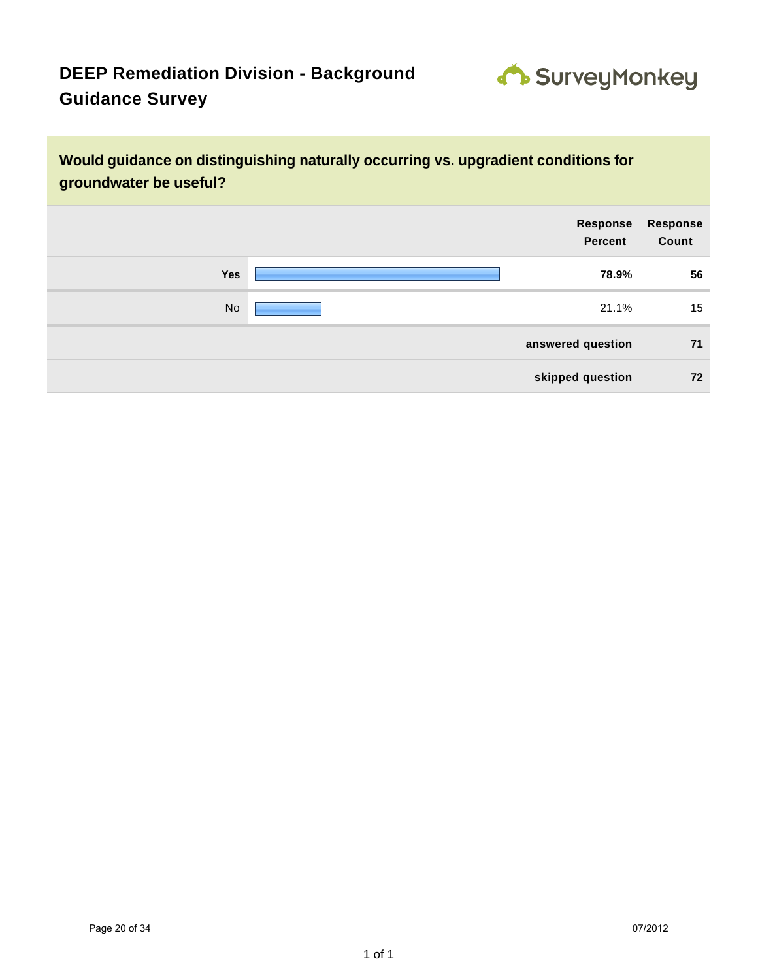

**Would guidance on distinguishing naturally occurring vs. upgradient conditions for groundwater be useful?**

| Response<br>Count | Response<br>Percent |     |
|-------------------|---------------------|-----|
| 56                | 78.9%               | Yes |
| 15                | 21.1%               | No  |
| 71                | answered question   |     |
| 72                | skipped question    |     |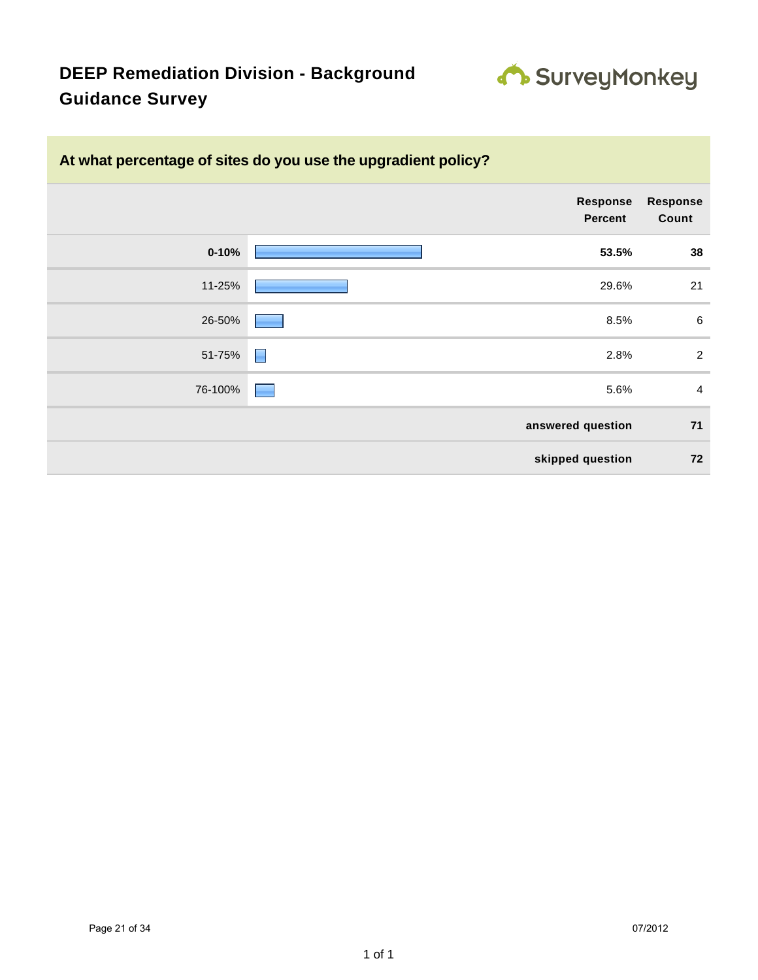

| At what percentage of sites do you use the upgradient policy? |                          |  |  |  |
|---------------------------------------------------------------|--------------------------|--|--|--|
| <b>Response</b><br>Percent                                    | <b>Response</b><br>Count |  |  |  |
| $0 - 10%$<br>53.5%                                            | 38                       |  |  |  |
| 11-25%<br>29.6%                                               | 21                       |  |  |  |
| 26-50%<br>8.5%                                                | $6\phantom{1}6$          |  |  |  |
| E<br>51-75%<br>2.8%                                           | $\overline{2}$           |  |  |  |
| 76-100%<br>5.6%<br>۰                                          | $\overline{4}$           |  |  |  |
| answered question                                             | 71                       |  |  |  |
| skipped question                                              | 72                       |  |  |  |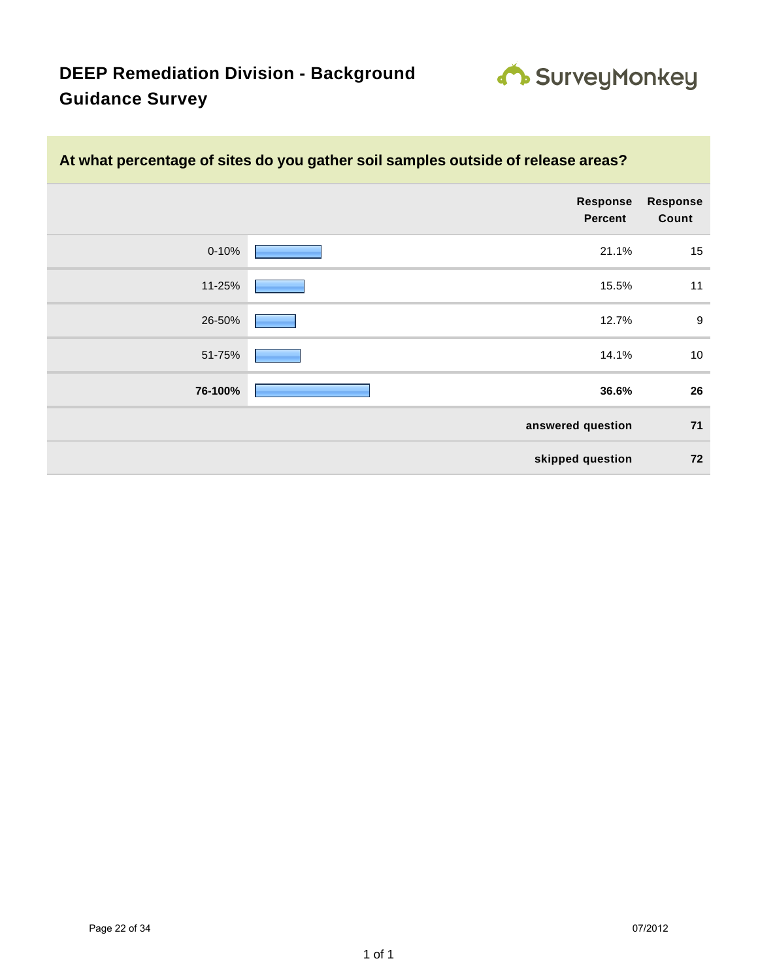

|                   | At what percentage of sites do you gather soil samples outside of release areas? |           |  |  |  |
|-------------------|----------------------------------------------------------------------------------|-----------|--|--|--|
| Response<br>Count | Response<br><b>Percent</b>                                                       |           |  |  |  |
| 15                | 21.1%                                                                            | $0 - 10%$ |  |  |  |
| 11                | 15.5%                                                                            | 11-25%    |  |  |  |
| 9                 | 12.7%                                                                            | 26-50%    |  |  |  |
| 10                | 14.1%                                                                            | 51-75%    |  |  |  |
| 26                | 36.6%                                                                            | 76-100%   |  |  |  |
| 71                | answered question                                                                |           |  |  |  |
| 72                | skipped question                                                                 |           |  |  |  |
|                   |                                                                                  |           |  |  |  |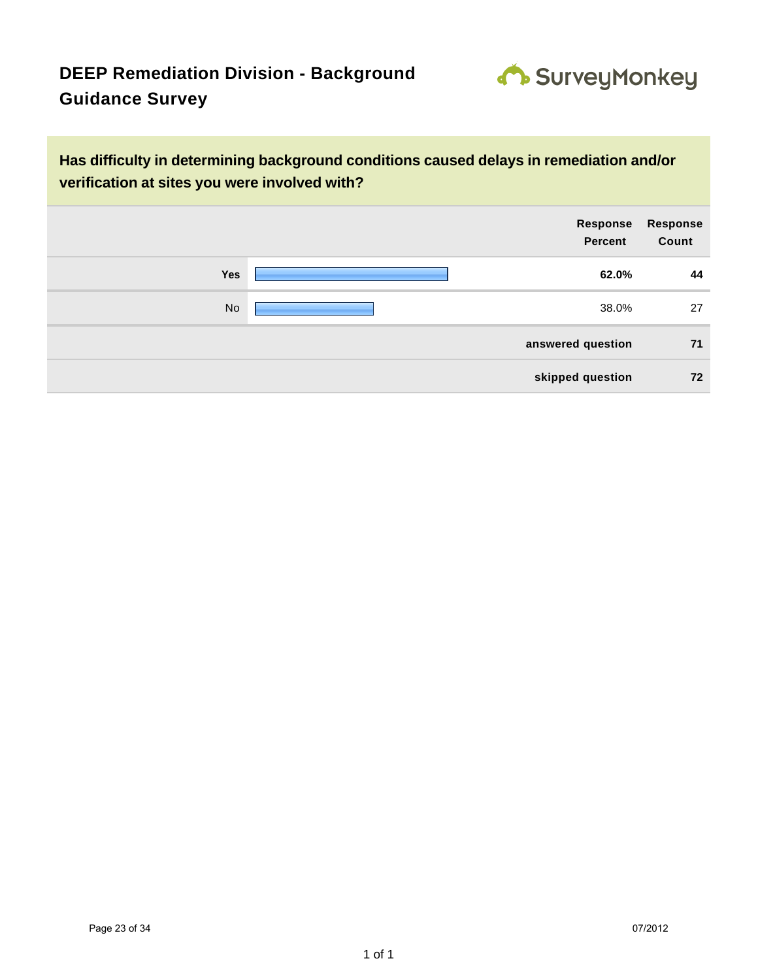

**Has difficulty in determining background conditions caused delays in remediation and/or verification at sites you were involved with?**

| Response<br><b>Percent</b> |       | Response<br>Count |
|----------------------------|-------|-------------------|
| Yes                        | 62.0% | 44                |
| No                         | 38.0% | 27                |
| answered question          |       | 71                |
| skipped question           |       | 72                |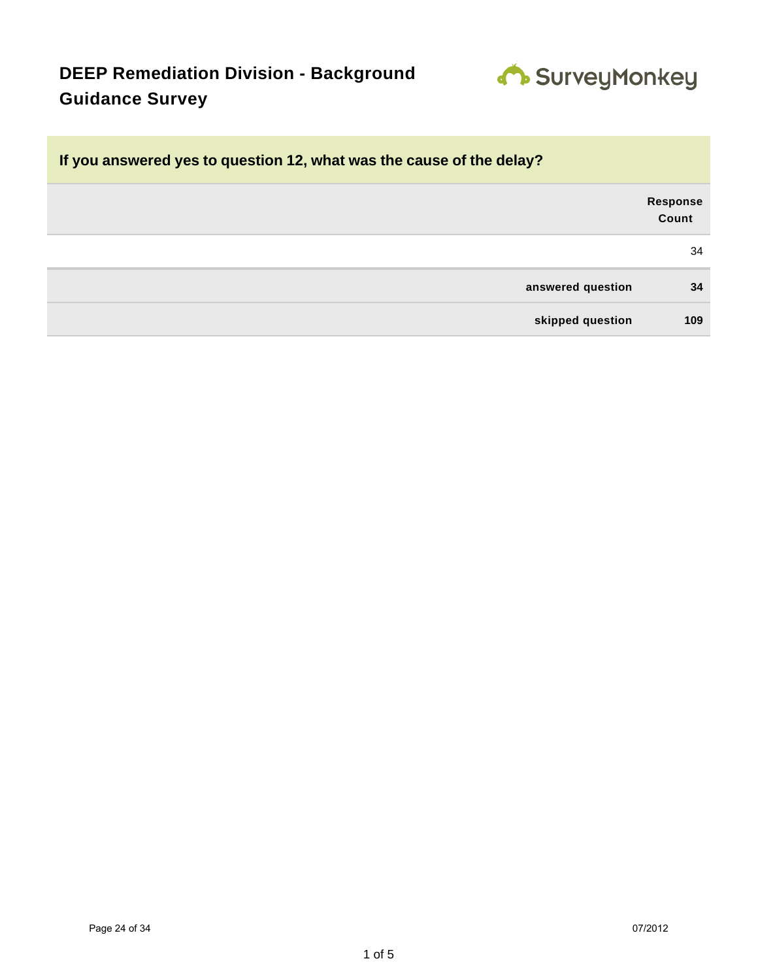

| If you answered yes to question 12, what was the cause of the delay? |                          |
|----------------------------------------------------------------------|--------------------------|
|                                                                      | <b>Response</b><br>Count |
|                                                                      | 34                       |
| answered question                                                    | 34                       |
| skipped question                                                     | 109                      |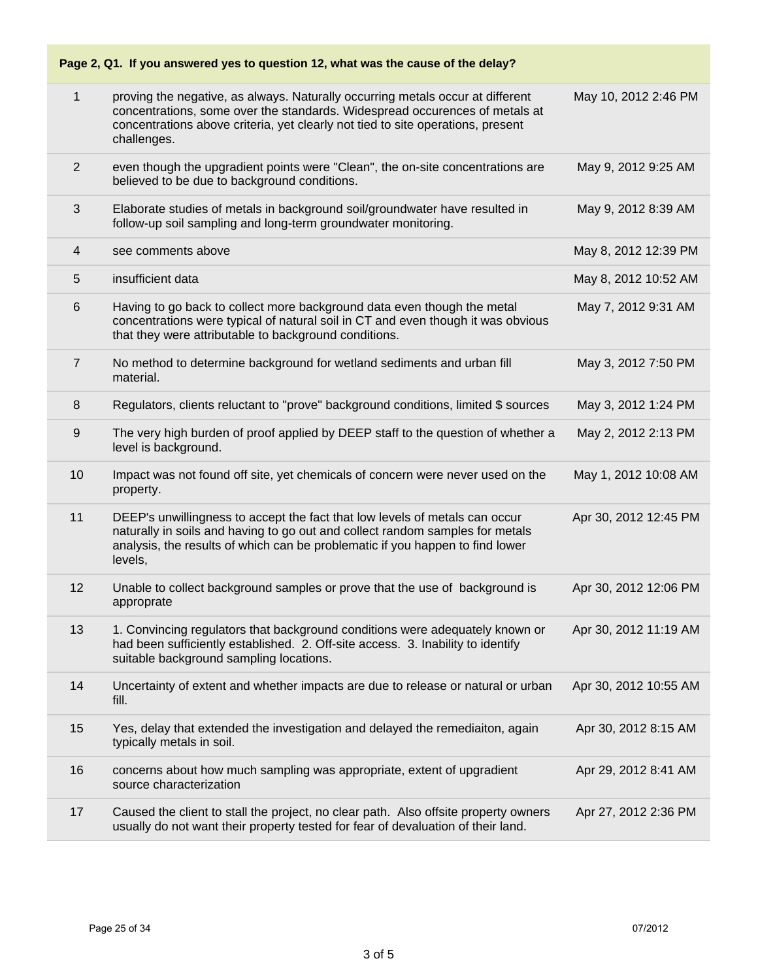| Page 2, Q1. If you answered yes to question 12, what was the cause of the delay? |                                                                                                                                                                                                                                                                 |                       |  |
|----------------------------------------------------------------------------------|-----------------------------------------------------------------------------------------------------------------------------------------------------------------------------------------------------------------------------------------------------------------|-----------------------|--|
| $\mathbf{1}$                                                                     | proving the negative, as always. Naturally occurring metals occur at different<br>concentrations, some over the standards. Widespread occurences of metals at<br>concentrations above criteria, yet clearly not tied to site operations, present<br>challenges. | May 10, 2012 2:46 PM  |  |
| $\overline{2}$                                                                   | even though the upgradient points were "Clean", the on-site concentrations are<br>believed to be due to background conditions.                                                                                                                                  | May 9, 2012 9:25 AM   |  |
| 3                                                                                | Elaborate studies of metals in background soil/groundwater have resulted in<br>follow-up soil sampling and long-term groundwater monitoring.                                                                                                                    | May 9, 2012 8:39 AM   |  |
| 4                                                                                | see comments above                                                                                                                                                                                                                                              | May 8, 2012 12:39 PM  |  |
| 5                                                                                | insufficient data                                                                                                                                                                                                                                               | May 8, 2012 10:52 AM  |  |
| $6\,$                                                                            | Having to go back to collect more background data even though the metal<br>concentrations were typical of natural soil in CT and even though it was obvious<br>that they were attributable to background conditions.                                            | May 7, 2012 9:31 AM   |  |
| $\overline{7}$                                                                   | No method to determine background for wetland sediments and urban fill<br>material.                                                                                                                                                                             | May 3, 2012 7:50 PM   |  |
| 8                                                                                | Regulators, clients reluctant to "prove" background conditions, limited \$ sources                                                                                                                                                                              | May 3, 2012 1:24 PM   |  |
| 9                                                                                | The very high burden of proof applied by DEEP staff to the question of whether a<br>level is background.                                                                                                                                                        | May 2, 2012 2:13 PM   |  |
| 10                                                                               | Impact was not found off site, yet chemicals of concern were never used on the<br>property.                                                                                                                                                                     | May 1, 2012 10:08 AM  |  |
| 11                                                                               | DEEP's unwillingness to accept the fact that low levels of metals can occur<br>naturally in soils and having to go out and collect random samples for metals<br>analysis, the results of which can be problematic if you happen to find lower<br>levels,        | Apr 30, 2012 12:45 PM |  |
| 12                                                                               | Unable to collect background samples or prove that the use of background is<br>approprate                                                                                                                                                                       | Apr 30, 2012 12:06 PM |  |
| 13                                                                               | 1. Convincing regulators that background conditions were adequately known or<br>had been sufficiently established. 2. Off-site access. 3. Inability to identify<br>suitable background sampling locations.                                                      | Apr 30, 2012 11:19 AM |  |
| 14                                                                               | Uncertainty of extent and whether impacts are due to release or natural or urban<br>fill.                                                                                                                                                                       | Apr 30, 2012 10:55 AM |  |
| 15                                                                               | Yes, delay that extended the investigation and delayed the remediaiton, again<br>typically metals in soil.                                                                                                                                                      | Apr 30, 2012 8:15 AM  |  |
| 16                                                                               | concerns about how much sampling was appropriate, extent of upgradient<br>source characterization                                                                                                                                                               | Apr 29, 2012 8:41 AM  |  |
| 17                                                                               | Caused the client to stall the project, no clear path. Also offsite property owners<br>usually do not want their property tested for fear of devaluation of their land.                                                                                         | Apr 27, 2012 2:36 PM  |  |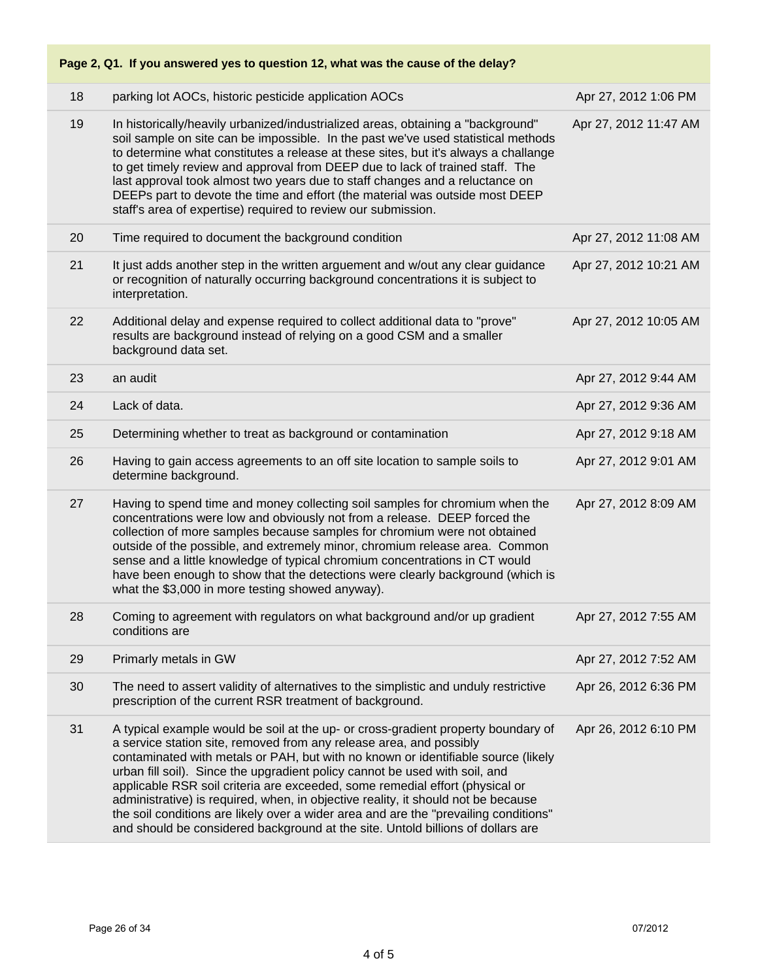| Page 2, Q1. If you answered yes to question 12, what was the cause of the delay? |                                                                                                                                                                                                                                                                                                                                                                                                                                                                                                                                                                                                                                                                              |                       |  |
|----------------------------------------------------------------------------------|------------------------------------------------------------------------------------------------------------------------------------------------------------------------------------------------------------------------------------------------------------------------------------------------------------------------------------------------------------------------------------------------------------------------------------------------------------------------------------------------------------------------------------------------------------------------------------------------------------------------------------------------------------------------------|-----------------------|--|
| 18                                                                               | parking lot AOCs, historic pesticide application AOCs                                                                                                                                                                                                                                                                                                                                                                                                                                                                                                                                                                                                                        | Apr 27, 2012 1:06 PM  |  |
| 19                                                                               | In historically/heavily urbanized/industrialized areas, obtaining a "background"<br>soil sample on site can be impossible. In the past we've used statistical methods<br>to determine what constitutes a release at these sites, but it's always a challange<br>to get timely review and approval from DEEP due to lack of trained staff. The<br>last approval took almost two years due to staff changes and a reluctance on<br>DEEPs part to devote the time and effort (the material was outside most DEEP<br>staff's area of expertise) required to review our submission.                                                                                               | Apr 27, 2012 11:47 AM |  |
| 20                                                                               | Time required to document the background condition                                                                                                                                                                                                                                                                                                                                                                                                                                                                                                                                                                                                                           | Apr 27, 2012 11:08 AM |  |
| 21                                                                               | It just adds another step in the written arguement and w/out any clear guidance<br>or recognition of naturally occurring background concentrations it is subject to<br>interpretation.                                                                                                                                                                                                                                                                                                                                                                                                                                                                                       | Apr 27, 2012 10:21 AM |  |
| 22                                                                               | Additional delay and expense required to collect additional data to "prove"<br>results are background instead of relying on a good CSM and a smaller<br>background data set.                                                                                                                                                                                                                                                                                                                                                                                                                                                                                                 | Apr 27, 2012 10:05 AM |  |
| 23                                                                               | an audit                                                                                                                                                                                                                                                                                                                                                                                                                                                                                                                                                                                                                                                                     | Apr 27, 2012 9:44 AM  |  |
| 24                                                                               | Lack of data.                                                                                                                                                                                                                                                                                                                                                                                                                                                                                                                                                                                                                                                                | Apr 27, 2012 9:36 AM  |  |
| 25                                                                               | Determining whether to treat as background or contamination                                                                                                                                                                                                                                                                                                                                                                                                                                                                                                                                                                                                                  | Apr 27, 2012 9:18 AM  |  |
| 26                                                                               | Having to gain access agreements to an off site location to sample soils to<br>determine background.                                                                                                                                                                                                                                                                                                                                                                                                                                                                                                                                                                         | Apr 27, 2012 9:01 AM  |  |
| 27                                                                               | Having to spend time and money collecting soil samples for chromium when the<br>concentrations were low and obviously not from a release. DEEP forced the<br>collection of more samples because samples for chromium were not obtained<br>outside of the possible, and extremely minor, chromium release area. Common<br>sense and a little knowledge of typical chromium concentrations in CT would<br>have been enough to show that the detections were clearly background (which is<br>what the \$3,000 in more testing showed anyway).                                                                                                                                   | Apr 27, 2012 8:09 AM  |  |
| 28                                                                               | Coming to agreement with regulators on what background and/or up gradient<br>conditions are                                                                                                                                                                                                                                                                                                                                                                                                                                                                                                                                                                                  | Apr 27, 2012 7:55 AM  |  |
| 29                                                                               | Primarly metals in GW                                                                                                                                                                                                                                                                                                                                                                                                                                                                                                                                                                                                                                                        | Apr 27, 2012 7:52 AM  |  |
| 30                                                                               | The need to assert validity of alternatives to the simplistic and unduly restrictive<br>prescription of the current RSR treatment of background.                                                                                                                                                                                                                                                                                                                                                                                                                                                                                                                             | Apr 26, 2012 6:36 PM  |  |
| 31                                                                               | A typical example would be soil at the up- or cross-gradient property boundary of<br>a service station site, removed from any release area, and possibly<br>contaminated with metals or PAH, but with no known or identifiable source (likely<br>urban fill soil). Since the upgradient policy cannot be used with soil, and<br>applicable RSR soil criteria are exceeded, some remedial effort (physical or<br>administrative) is required, when, in objective reality, it should not be because<br>the soil conditions are likely over a wider area and are the "prevailing conditions"<br>and should be considered background at the site. Untold billions of dollars are | Apr 26, 2012 6:10 PM  |  |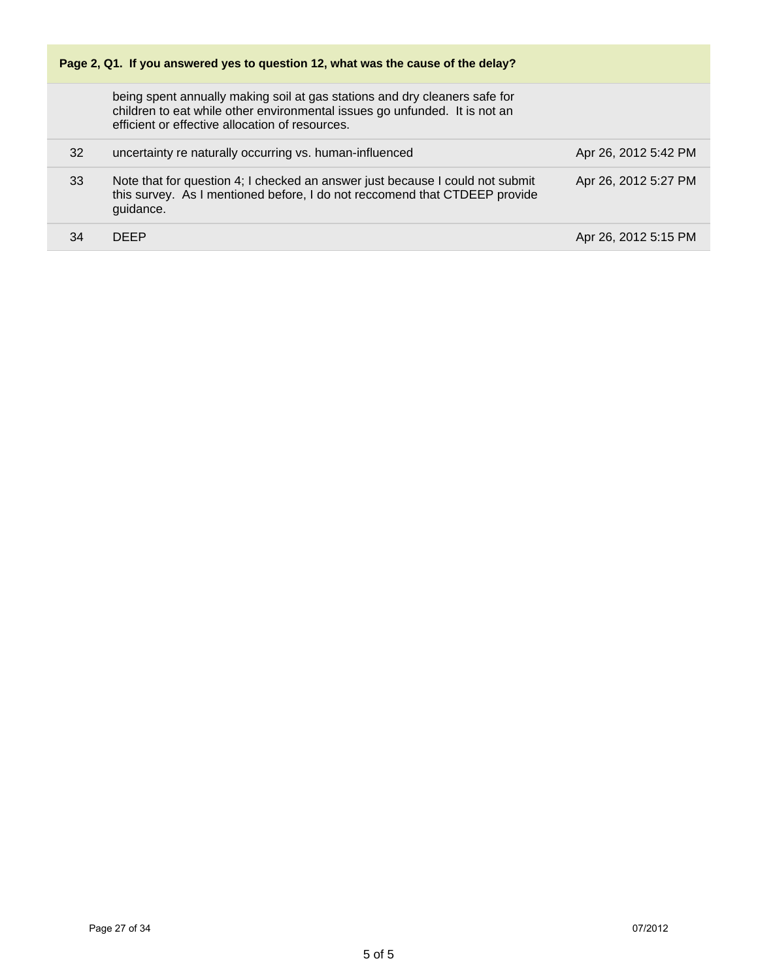| Page 2, Q1. If you answered yes to question 12, what was the cause of the delay? |                                                                                                                                                                                                             |                      |  |
|----------------------------------------------------------------------------------|-------------------------------------------------------------------------------------------------------------------------------------------------------------------------------------------------------------|----------------------|--|
|                                                                                  | being spent annually making soil at gas stations and dry cleaners safe for<br>children to eat while other environmental issues go unfunded. It is not an<br>efficient or effective allocation of resources. |                      |  |
| 32                                                                               | uncertainty re naturally occurring vs. human-influenced                                                                                                                                                     | Apr 26, 2012 5:42 PM |  |
| 33                                                                               | Note that for question 4; I checked an answer just because I could not submit<br>this survey. As I mentioned before, I do not reccomend that CTDEEP provide<br>guidance.                                    | Apr 26, 2012 5:27 PM |  |
| 34                                                                               | <b>DEEP</b>                                                                                                                                                                                                 | Apr 26, 2012 5:15 PM |  |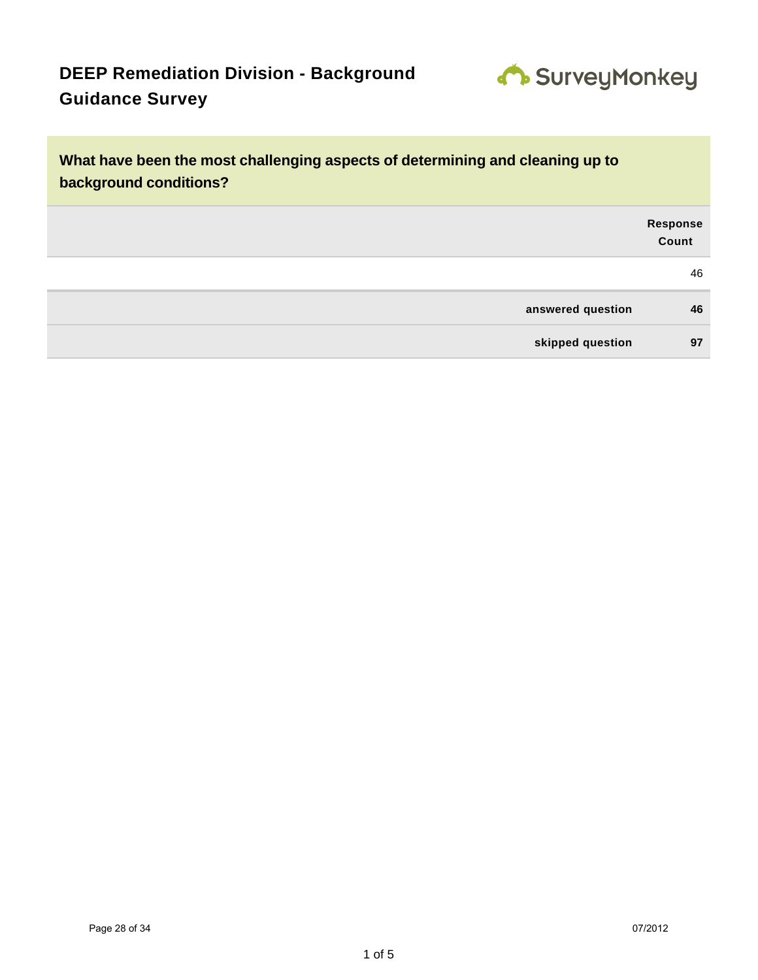

| What have been the most challenging aspects of determining and cleaning up to<br>background conditions? |                          |  |
|---------------------------------------------------------------------------------------------------------|--------------------------|--|
|                                                                                                         | <b>Response</b><br>Count |  |
|                                                                                                         | 46                       |  |
| answered question                                                                                       | 46                       |  |
| skipped question                                                                                        | 97                       |  |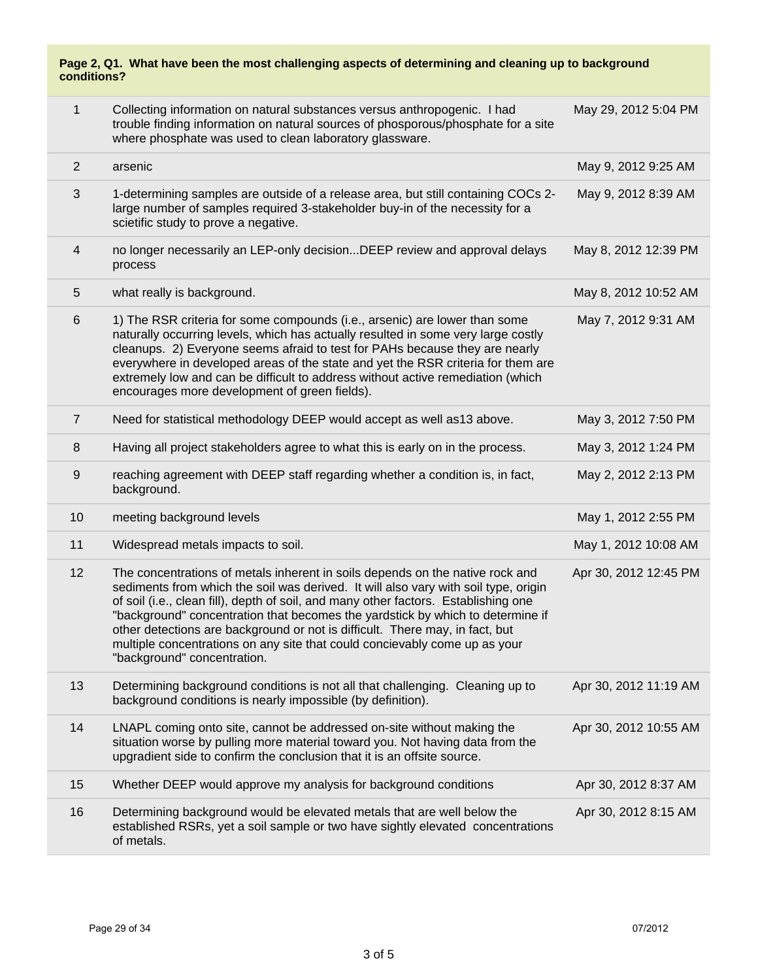| Page 2, Q1. What have been the most challenging aspects of determining and cleaning up to background<br>conditions? |                                                                                                                                                                                                                                                                                                                                                                                                                                                                                                                                            |                       |  |
|---------------------------------------------------------------------------------------------------------------------|--------------------------------------------------------------------------------------------------------------------------------------------------------------------------------------------------------------------------------------------------------------------------------------------------------------------------------------------------------------------------------------------------------------------------------------------------------------------------------------------------------------------------------------------|-----------------------|--|
| $\mathbf{1}$                                                                                                        | Collecting information on natural substances versus anthropogenic. I had<br>trouble finding information on natural sources of phosporous/phosphate for a site<br>where phosphate was used to clean laboratory glassware.                                                                                                                                                                                                                                                                                                                   | May 29, 2012 5:04 PM  |  |
| 2                                                                                                                   | arsenic                                                                                                                                                                                                                                                                                                                                                                                                                                                                                                                                    | May 9, 2012 9:25 AM   |  |
| $\mathfrak{B}$                                                                                                      | 1-determining samples are outside of a release area, but still containing COCs 2-<br>large number of samples required 3-stakeholder buy-in of the necessity for a<br>scietific study to prove a negative.                                                                                                                                                                                                                                                                                                                                  | May 9, 2012 8:39 AM   |  |
| 4                                                                                                                   | no longer necessarily an LEP-only decisionDEEP review and approval delays<br>process                                                                                                                                                                                                                                                                                                                                                                                                                                                       | May 8, 2012 12:39 PM  |  |
| $\sqrt{5}$                                                                                                          | what really is background.                                                                                                                                                                                                                                                                                                                                                                                                                                                                                                                 | May 8, 2012 10:52 AM  |  |
| $6\phantom{1}6$                                                                                                     | 1) The RSR criteria for some compounds (i.e., arsenic) are lower than some<br>naturally occurring levels, which has actually resulted in some very large costly<br>cleanups. 2) Everyone seems afraid to test for PAHs because they are nearly<br>everywhere in developed areas of the state and yet the RSR criteria for them are<br>extremely low and can be difficult to address without active remediation (which<br>encourages more development of green fields).                                                                     | May 7, 2012 9:31 AM   |  |
| $\overline{7}$                                                                                                      | Need for statistical methodology DEEP would accept as well as 13 above.                                                                                                                                                                                                                                                                                                                                                                                                                                                                    | May 3, 2012 7:50 PM   |  |
| 8                                                                                                                   | Having all project stakeholders agree to what this is early on in the process.                                                                                                                                                                                                                                                                                                                                                                                                                                                             | May 3, 2012 1:24 PM   |  |
| 9                                                                                                                   | reaching agreement with DEEP staff regarding whether a condition is, in fact,<br>background.                                                                                                                                                                                                                                                                                                                                                                                                                                               | May 2, 2012 2:13 PM   |  |
| 10                                                                                                                  | meeting background levels                                                                                                                                                                                                                                                                                                                                                                                                                                                                                                                  | May 1, 2012 2:55 PM   |  |
| 11                                                                                                                  | Widespread metals impacts to soil.                                                                                                                                                                                                                                                                                                                                                                                                                                                                                                         | May 1, 2012 10:08 AM  |  |
| 12                                                                                                                  | The concentrations of metals inherent in soils depends on the native rock and<br>sediments from which the soil was derived. It will also vary with soil type, origin<br>of soil (i.e., clean fill), depth of soil, and many other factors. Establishing one<br>"background" concentration that becomes the yardstick by which to determine if<br>other detections are background or not is difficult. There may, in fact, but<br>multiple concentrations on any site that could concievably come up as your<br>"background" concentration. | Apr 30, 2012 12:45 PM |  |
| 13                                                                                                                  | Determining background conditions is not all that challenging. Cleaning up to<br>background conditions is nearly impossible (by definition).                                                                                                                                                                                                                                                                                                                                                                                               | Apr 30, 2012 11:19 AM |  |
| 14                                                                                                                  | LNAPL coming onto site, cannot be addressed on-site without making the<br>situation worse by pulling more material toward you. Not having data from the<br>upgradient side to confirm the conclusion that it is an offsite source.                                                                                                                                                                                                                                                                                                         | Apr 30, 2012 10:55 AM |  |
| 15                                                                                                                  | Whether DEEP would approve my analysis for background conditions                                                                                                                                                                                                                                                                                                                                                                                                                                                                           | Apr 30, 2012 8:37 AM  |  |
| 16                                                                                                                  | Determining background would be elevated metals that are well below the<br>established RSRs, yet a soil sample or two have sightly elevated concentrations<br>of metals.                                                                                                                                                                                                                                                                                                                                                                   | Apr 30, 2012 8:15 AM  |  |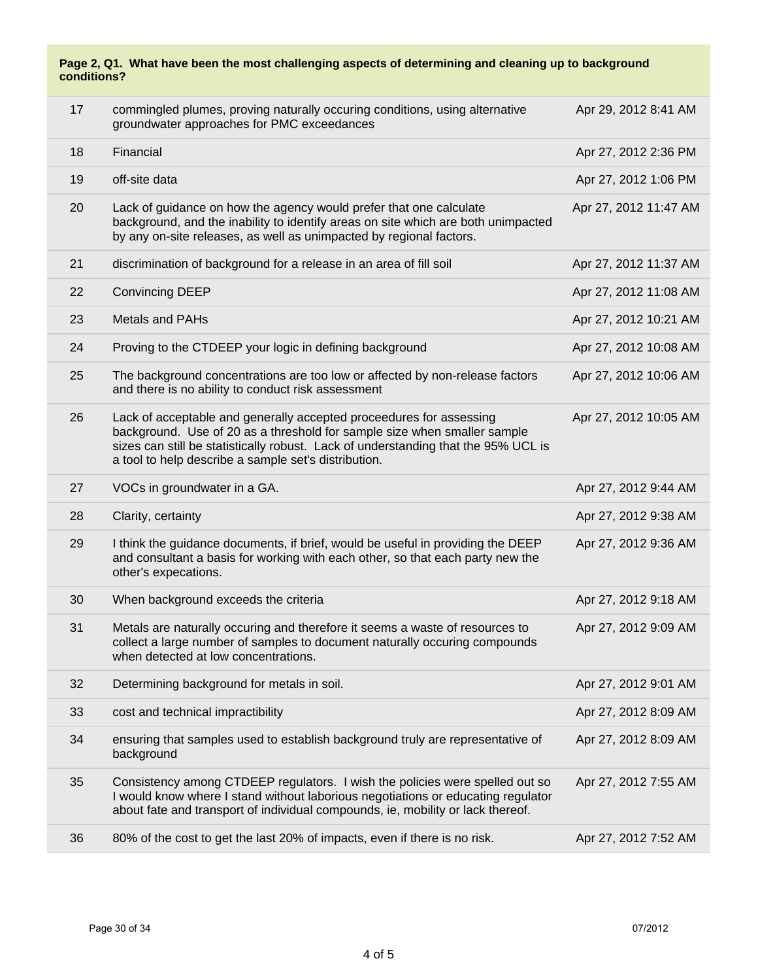#### **Page 2, Q1. What have been the most challenging aspects of determining and cleaning up to background conditions?**

| 17 | commingled plumes, proving naturally occuring conditions, using alternative<br>groundwater approaches for PMC exceedances                                                                                                                                                                     | Apr 29, 2012 8:41 AM  |
|----|-----------------------------------------------------------------------------------------------------------------------------------------------------------------------------------------------------------------------------------------------------------------------------------------------|-----------------------|
| 18 | Financial                                                                                                                                                                                                                                                                                     | Apr 27, 2012 2:36 PM  |
| 19 | off-site data                                                                                                                                                                                                                                                                                 | Apr 27, 2012 1:06 PM  |
| 20 | Lack of guidance on how the agency would prefer that one calculate<br>background, and the inability to identify areas on site which are both unimpacted<br>by any on-site releases, as well as unimpacted by regional factors.                                                                | Apr 27, 2012 11:47 AM |
| 21 | discrimination of background for a release in an area of fill soil                                                                                                                                                                                                                            | Apr 27, 2012 11:37 AM |
| 22 | <b>Convincing DEEP</b>                                                                                                                                                                                                                                                                        | Apr 27, 2012 11:08 AM |
| 23 | Metals and PAHs                                                                                                                                                                                                                                                                               | Apr 27, 2012 10:21 AM |
| 24 | Proving to the CTDEEP your logic in defining background                                                                                                                                                                                                                                       | Apr 27, 2012 10:08 AM |
| 25 | The background concentrations are too low or affected by non-release factors<br>and there is no ability to conduct risk assessment                                                                                                                                                            | Apr 27, 2012 10:06 AM |
| 26 | Lack of acceptable and generally accepted proceedures for assessing<br>background. Use of 20 as a threshold for sample size when smaller sample<br>sizes can still be statistically robust. Lack of understanding that the 95% UCL is<br>a tool to help describe a sample set's distribution. | Apr 27, 2012 10:05 AM |
| 27 | VOCs in groundwater in a GA.                                                                                                                                                                                                                                                                  | Apr 27, 2012 9:44 AM  |
|    |                                                                                                                                                                                                                                                                                               |                       |
| 28 | Clarity, certainty                                                                                                                                                                                                                                                                            | Apr 27, 2012 9:38 AM  |
| 29 | I think the guidance documents, if brief, would be useful in providing the DEEP<br>and consultant a basis for working with each other, so that each party new the<br>other's expecations.                                                                                                     | Apr 27, 2012 9:36 AM  |
| 30 | When background exceeds the criteria                                                                                                                                                                                                                                                          | Apr 27, 2012 9:18 AM  |
| 31 | Metals are naturally occuring and therefore it seems a waste of resources to<br>collect a large number of samples to document naturally occuring compounds<br>when detected at low concentrations.                                                                                            | Apr 27, 2012 9:09 AM  |
| 32 | Determining background for metals in soil.                                                                                                                                                                                                                                                    | Apr 27, 2012 9:01 AM  |
| 33 | cost and technical impractibility                                                                                                                                                                                                                                                             | Apr 27, 2012 8:09 AM  |
| 34 | ensuring that samples used to establish background truly are representative of<br>background                                                                                                                                                                                                  | Apr 27, 2012 8:09 AM  |
| 35 | Consistency among CTDEEP regulators. I wish the policies were spelled out so<br>I would know where I stand without laborious negotiations or educating regulator<br>about fate and transport of individual compounds, ie, mobility or lack thereof.                                           | Apr 27, 2012 7:55 AM  |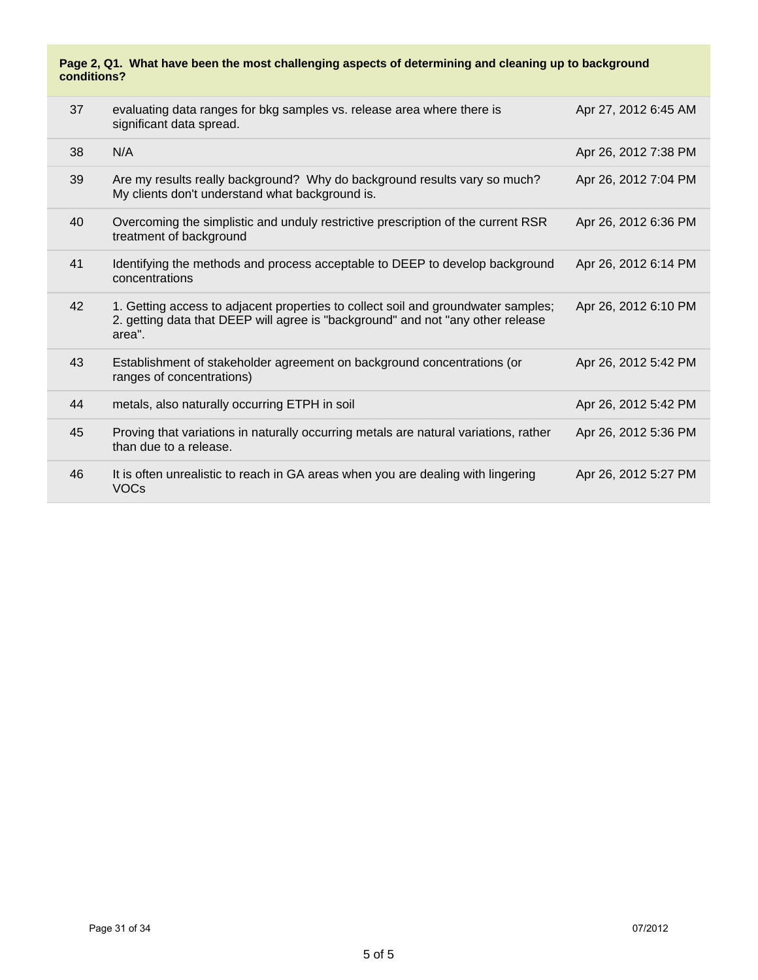#### **Page 2, Q1. What have been the most challenging aspects of determining and cleaning up to background conditions?**

| 37 | evaluating data ranges for bkg samples vs. release area where there is<br>significant data spread.                                                                             | Apr 27, 2012 6:45 AM |
|----|--------------------------------------------------------------------------------------------------------------------------------------------------------------------------------|----------------------|
| 38 | N/A                                                                                                                                                                            | Apr 26, 2012 7:38 PM |
| 39 | Are my results really background? Why do background results vary so much?<br>My clients don't understand what background is.                                                   | Apr 26, 2012 7:04 PM |
| 40 | Overcoming the simplistic and unduly restrictive prescription of the current RSR<br>treatment of background                                                                    | Apr 26, 2012 6:36 PM |
| 41 | Identifying the methods and process acceptable to DEEP to develop background<br>concentrations                                                                                 | Apr 26, 2012 6:14 PM |
| 42 | 1. Getting access to adjacent properties to collect soil and groundwater samples;<br>2. getting data that DEEP will agree is "background" and not "any other release<br>area". | Apr 26, 2012 6:10 PM |
| 43 | Establishment of stakeholder agreement on background concentrations (or<br>ranges of concentrations)                                                                           | Apr 26, 2012 5:42 PM |
| 44 | metals, also naturally occurring ETPH in soil                                                                                                                                  | Apr 26, 2012 5:42 PM |
| 45 | Proving that variations in naturally occurring metals are natural variations, rather<br>than due to a release.                                                                 | Apr 26, 2012 5:36 PM |
| 46 | It is often unrealistic to reach in GA areas when you are dealing with lingering<br><b>VOCs</b>                                                                                | Apr 26, 2012 5:27 PM |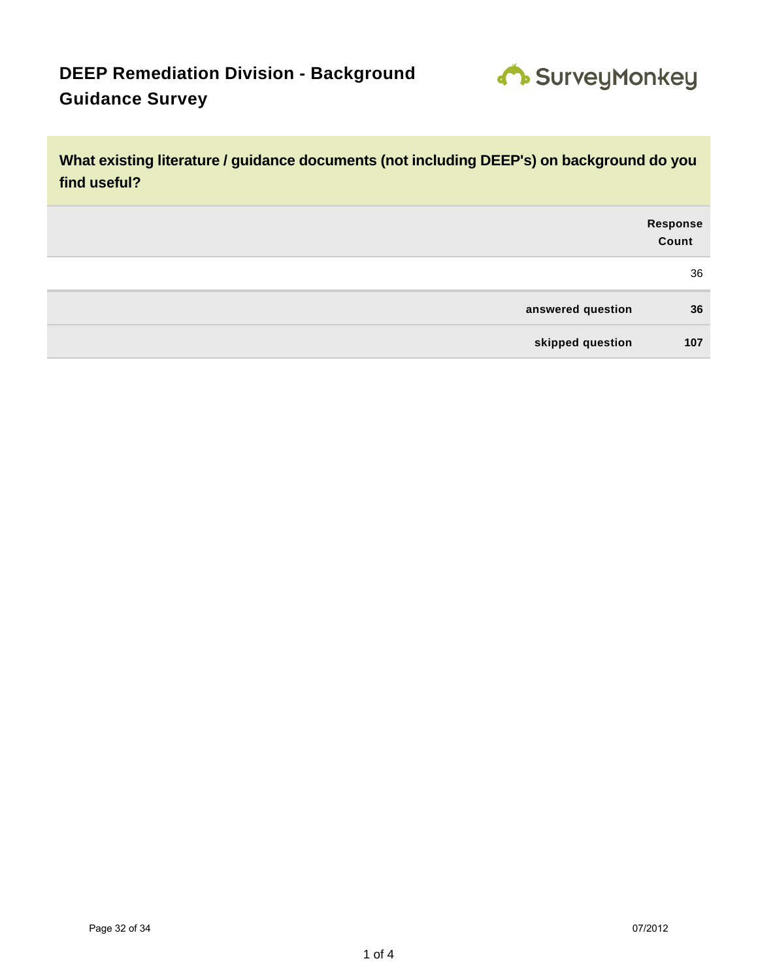

**What existing literature / guidance documents (not including DEEP's) on background do you find useful?**

|                   | Response<br>Count |
|-------------------|-------------------|
|                   | 36                |
| answered question | 36                |
| skipped question  | 107               |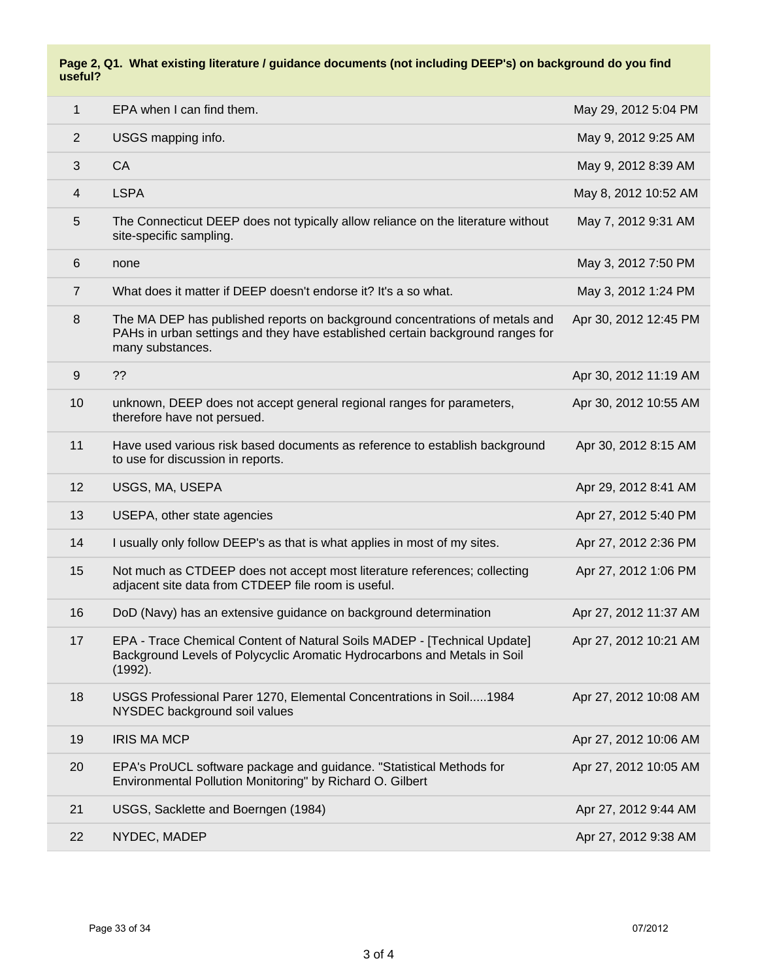#### **Page 2, Q1. What existing literature / guidance documents (not including DEEP's) on background do you find useful?**

| $\mathbf{1}$   | EPA when I can find them.                                                                                                                                                         | May 29, 2012 5:04 PM  |
|----------------|-----------------------------------------------------------------------------------------------------------------------------------------------------------------------------------|-----------------------|
| $\overline{2}$ | USGS mapping info.                                                                                                                                                                | May 9, 2012 9:25 AM   |
| 3              | CA                                                                                                                                                                                | May 9, 2012 8:39 AM   |
| 4              | <b>LSPA</b>                                                                                                                                                                       | May 8, 2012 10:52 AM  |
| 5              | The Connecticut DEEP does not typically allow reliance on the literature without<br>site-specific sampling.                                                                       | May 7, 2012 9:31 AM   |
| 6              | none                                                                                                                                                                              | May 3, 2012 7:50 PM   |
| $\overline{7}$ | What does it matter if DEEP doesn't endorse it? It's a so what.                                                                                                                   | May 3, 2012 1:24 PM   |
| 8              | The MA DEP has published reports on background concentrations of metals and<br>PAHs in urban settings and they have established certain background ranges for<br>many substances. | Apr 30, 2012 12:45 PM |
| $9\,$          | ??                                                                                                                                                                                | Apr 30, 2012 11:19 AM |
| 10             | unknown, DEEP does not accept general regional ranges for parameters,<br>therefore have not persued.                                                                              | Apr 30, 2012 10:55 AM |
| 11             | Have used various risk based documents as reference to establish background<br>to use for discussion in reports.                                                                  | Apr 30, 2012 8:15 AM  |
| 12             | USGS, MA, USEPA                                                                                                                                                                   | Apr 29, 2012 8:41 AM  |
| 13             | USEPA, other state agencies                                                                                                                                                       | Apr 27, 2012 5:40 PM  |
| 14             | I usually only follow DEEP's as that is what applies in most of my sites.                                                                                                         | Apr 27, 2012 2:36 PM  |
| 15             | Not much as CTDEEP does not accept most literature references; collecting<br>adjacent site data from CTDEEP file room is useful.                                                  | Apr 27, 2012 1:06 PM  |
| 16             | DoD (Navy) has an extensive guidance on background determination                                                                                                                  | Apr 27, 2012 11:37 AM |
| 17             | EPA - Trace Chemical Content of Natural Soils MADEP - [Technical Update]<br>Background Levels of Polycyclic Aromatic Hydrocarbons and Metals in Soil<br>(1992).                   | Apr 27, 2012 10:21 AM |
| 18             | USGS Professional Parer 1270, Elemental Concentrations in Soil1984<br>NYSDEC background soil values                                                                               | Apr 27, 2012 10:08 AM |
| 19             | <b>IRIS MA MCP</b>                                                                                                                                                                | Apr 27, 2012 10:06 AM |
| 20             | EPA's ProUCL software package and guidance. "Statistical Methods for<br>Environmental Pollution Monitoring" by Richard O. Gilbert                                                 | Apr 27, 2012 10:05 AM |
| 21             | USGS, Sacklette and Boerngen (1984)                                                                                                                                               | Apr 27, 2012 9:44 AM  |
| 22             | NYDEC, MADEP                                                                                                                                                                      | Apr 27, 2012 9:38 AM  |